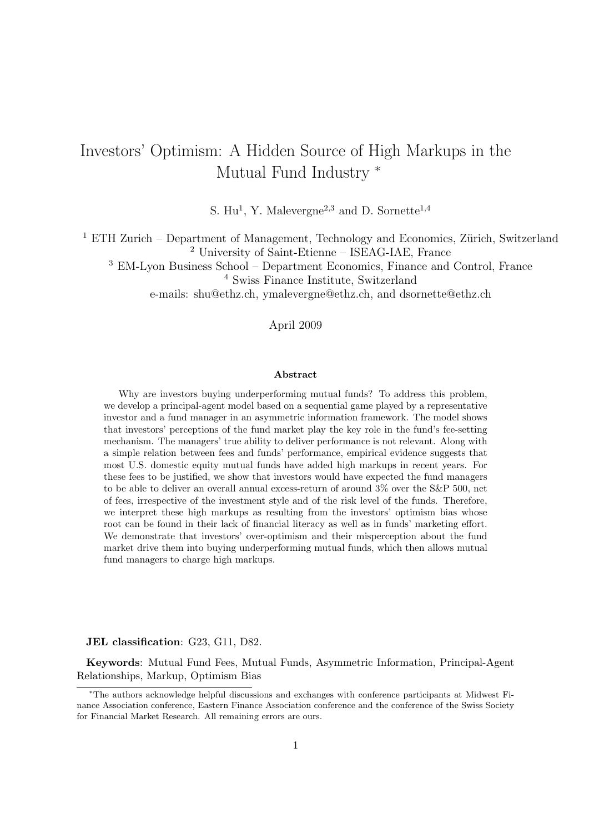# Investors' Optimism: A Hidden Source of High Markups in the Mutual Fund Industry <sup>∗</sup>

S.  $\rm{Hu^1}$ , Y. Malevergne<sup>2,3</sup> and D. Sornette<sup>1,4</sup>

<sup>1</sup> ETH Zurich – Department of Management, Technology and Economics, Zürich, Switzerland <sup>2</sup> University of Saint-Etienne – ISEAG-IAE, France

<sup>3</sup> EM-Lyon Business School – Department Economics, Finance and Control, France

<sup>4</sup> Swiss Finance Institute, Switzerland

e-mails: shu@ethz.ch, ymalevergne@ethz.ch, and dsornette@ethz.ch

### April 2009

#### Abstract

Why are investors buying underperforming mutual funds? To address this problem, we develop a principal-agent model based on a sequential game played by a representative investor and a fund manager in an asymmetric information framework. The model shows that investors' perceptions of the fund market play the key role in the fund's fee-setting mechanism. The managers' true ability to deliver performance is not relevant. Along with a simple relation between fees and funds' performance, empirical evidence suggests that most U.S. domestic equity mutual funds have added high markups in recent years. For these fees to be justified, we show that investors would have expected the fund managers to be able to deliver an overall annual excess-return of around 3% over the S&P 500, net of fees, irrespective of the investment style and of the risk level of the funds. Therefore, we interpret these high markups as resulting from the investors' optimism bias whose root can be found in their lack of financial literacy as well as in funds' marketing effort. We demonstrate that investors' over-optimism and their misperception about the fund market drive them into buying underperforming mutual funds, which then allows mutual fund managers to charge high markups.

#### JEL classification: G23, G11, D82.

Keywords: Mutual Fund Fees, Mutual Funds, Asymmetric Information, Principal-Agent Relationships, Markup, Optimism Bias

<sup>∗</sup>The authors acknowledge helpful discussions and exchanges with conference participants at Midwest Finance Association conference, Eastern Finance Association conference and the conference of the Swiss Society for Financial Market Research. All remaining errors are ours.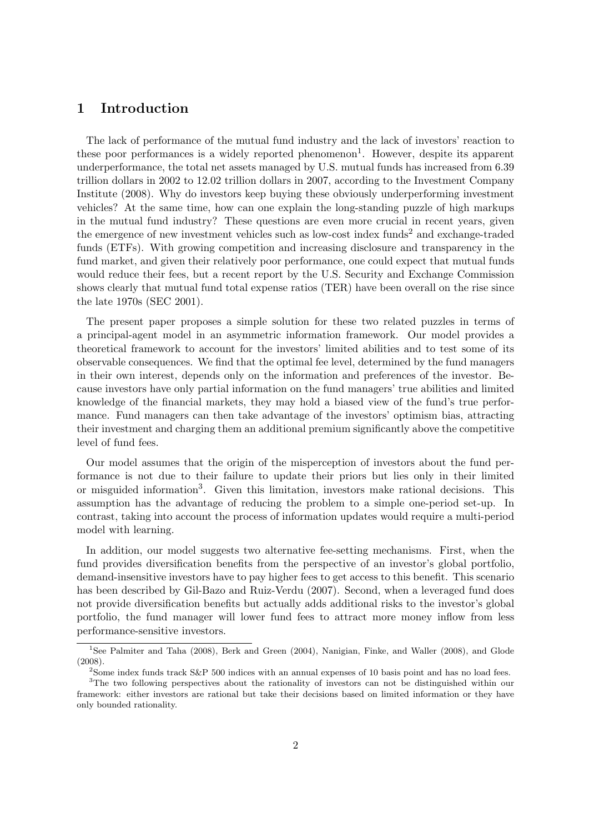## 1 Introduction

The lack of performance of the mutual fund industry and the lack of investors' reaction to these poor performances is a widely reported phenomenon<sup>1</sup>. However, despite its apparent underperformance, the total net assets managed by U.S. mutual funds has increased from 6.39 trillion dollars in 2002 to 12.02 trillion dollars in 2007, according to the Investment Company Institute (2008). Why do investors keep buying these obviously underperforming investment vehicles? At the same time, how can one explain the long-standing puzzle of high markups in the mutual fund industry? These questions are even more crucial in recent years, given the emergence of new investment vehicles such as low-cost index funds<sup>2</sup> and exchange-traded funds (ETFs). With growing competition and increasing disclosure and transparency in the fund market, and given their relatively poor performance, one could expect that mutual funds would reduce their fees, but a recent report by the U.S. Security and Exchange Commission shows clearly that mutual fund total expense ratios (TER) have been overall on the rise since the late 1970s (SEC 2001).

The present paper proposes a simple solution for these two related puzzles in terms of a principal-agent model in an asymmetric information framework. Our model provides a theoretical framework to account for the investors' limited abilities and to test some of its observable consequences. We find that the optimal fee level, determined by the fund managers in their own interest, depends only on the information and preferences of the investor. Because investors have only partial information on the fund managers' true abilities and limited knowledge of the financial markets, they may hold a biased view of the fund's true performance. Fund managers can then take advantage of the investors' optimism bias, attracting their investment and charging them an additional premium significantly above the competitive level of fund fees.

Our model assumes that the origin of the misperception of investors about the fund performance is not due to their failure to update their priors but lies only in their limited or misguided information<sup>3</sup>. Given this limitation, investors make rational decisions. This assumption has the advantage of reducing the problem to a simple one-period set-up. In contrast, taking into account the process of information updates would require a multi-period model with learning.

In addition, our model suggests two alternative fee-setting mechanisms. First, when the fund provides diversification benefits from the perspective of an investor's global portfolio, demand-insensitive investors have to pay higher fees to get access to this benefit. This scenario has been described by Gil-Bazo and Ruiz-Verdu (2007). Second, when a leveraged fund does not provide diversification benefits but actually adds additional risks to the investor's global portfolio, the fund manager will lower fund fees to attract more money inflow from less performance-sensitive investors.

<sup>&</sup>lt;sup>1</sup>See Palmiter and Taha (2008), Berk and Green (2004), Nanigian, Finke, and Waller (2008), and Glode (2008).

<sup>&</sup>lt;sup>2</sup>Some index funds track S&P 500 indices with an annual expenses of 10 basis point and has no load fees.

<sup>&</sup>lt;sup>3</sup>The two following perspectives about the rationality of investors can not be distinguished within our framework: either investors are rational but take their decisions based on limited information or they have only bounded rationality.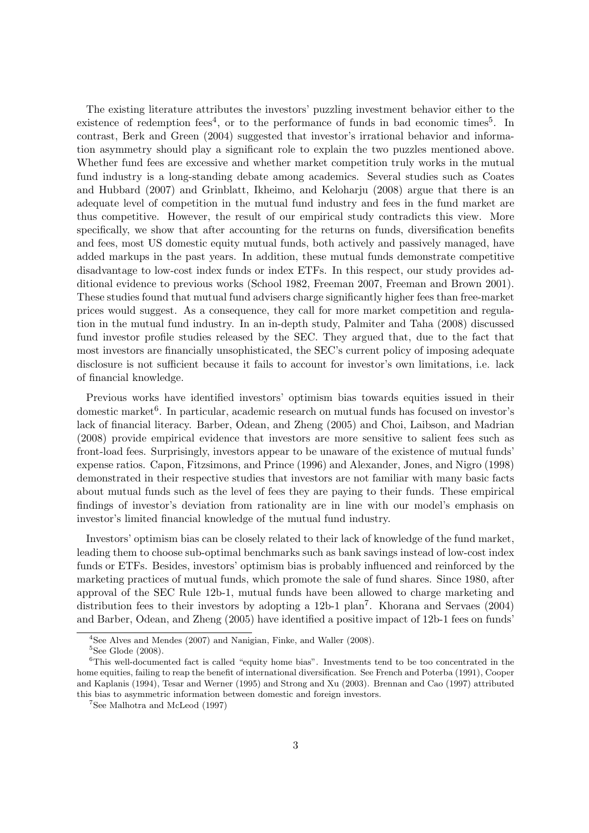The existing literature attributes the investors' puzzling investment behavior either to the existence of redemption fees<sup>4</sup>, or to the performance of funds in bad economic times<sup>5</sup>. In contrast, Berk and Green (2004) suggested that investor's irrational behavior and information asymmetry should play a significant role to explain the two puzzles mentioned above. Whether fund fees are excessive and whether market competition truly works in the mutual fund industry is a long-standing debate among academics. Several studies such as Coates and Hubbard (2007) and Grinblatt, Ikheimo, and Keloharju (2008) argue that there is an adequate level of competition in the mutual fund industry and fees in the fund market are thus competitive. However, the result of our empirical study contradicts this view. More specifically, we show that after accounting for the returns on funds, diversification benefits and fees, most US domestic equity mutual funds, both actively and passively managed, have added markups in the past years. In addition, these mutual funds demonstrate competitive disadvantage to low-cost index funds or index ETFs. In this respect, our study provides additional evidence to previous works (School 1982, Freeman 2007, Freeman and Brown 2001). These studies found that mutual fund advisers charge significantly higher fees than free-market prices would suggest. As a consequence, they call for more market competition and regulation in the mutual fund industry. In an in-depth study, Palmiter and Taha (2008) discussed fund investor profile studies released by the SEC. They argued that, due to the fact that most investors are financially unsophisticated, the SEC's current policy of imposing adequate disclosure is not sufficient because it fails to account for investor's own limitations, i.e. lack of financial knowledge.

Previous works have identified investors' optimism bias towards equities issued in their domestic market<sup>6</sup>. In particular, academic research on mutual funds has focused on investor's lack of financial literacy. Barber, Odean, and Zheng (2005) and Choi, Laibson, and Madrian (2008) provide empirical evidence that investors are more sensitive to salient fees such as front-load fees. Surprisingly, investors appear to be unaware of the existence of mutual funds' expense ratios. Capon, Fitzsimons, and Prince (1996) and Alexander, Jones, and Nigro (1998) demonstrated in their respective studies that investors are not familiar with many basic facts about mutual funds such as the level of fees they are paying to their funds. These empirical findings of investor's deviation from rationality are in line with our model's emphasis on investor's limited financial knowledge of the mutual fund industry.

Investors' optimism bias can be closely related to their lack of knowledge of the fund market, leading them to choose sub-optimal benchmarks such as bank savings instead of low-cost index funds or ETFs. Besides, investors' optimism bias is probably influenced and reinforced by the marketing practices of mutual funds, which promote the sale of fund shares. Since 1980, after approval of the SEC Rule 12b-1, mutual funds have been allowed to charge marketing and distribution fees to their investors by adopting a 12b-1 plan<sup>7</sup>. Khorana and Servaes (2004) and Barber, Odean, and Zheng (2005) have identified a positive impact of 12b-1 fees on funds'

<sup>4</sup>See Alves and Mendes (2007) and Nanigian, Finke, and Waller (2008).  ${}^{5}$ See Glode (2008).

<sup>6</sup>This well-documented fact is called "equity home bias". Investments tend to be too concentrated in the home equities, failing to reap the benefit of international diversification. See French and Poterba (1991), Cooper and Kaplanis (1994), Tesar and Werner (1995) and Strong and Xu (2003). Brennan and Cao (1997) attributed this bias to asymmetric information between domestic and foreign investors.

<sup>7</sup>See Malhotra and McLeod (1997)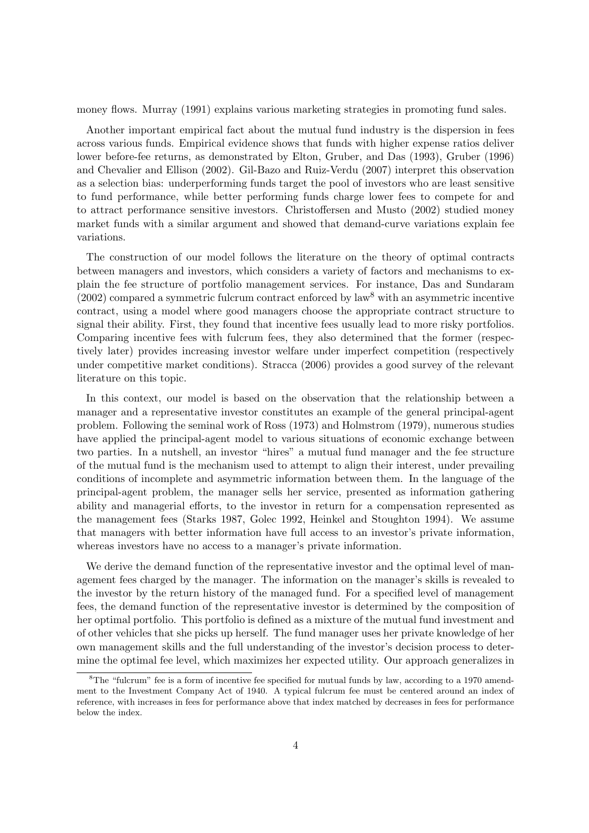money flows. Murray (1991) explains various marketing strategies in promoting fund sales.

Another important empirical fact about the mutual fund industry is the dispersion in fees across various funds. Empirical evidence shows that funds with higher expense ratios deliver lower before-fee returns, as demonstrated by Elton, Gruber, and Das (1993), Gruber (1996) and Chevalier and Ellison (2002). Gil-Bazo and Ruiz-Verdu (2007) interpret this observation as a selection bias: underperforming funds target the pool of investors who are least sensitive to fund performance, while better performing funds charge lower fees to compete for and to attract performance sensitive investors. Christoffersen and Musto (2002) studied money market funds with a similar argument and showed that demand-curve variations explain fee variations.

The construction of our model follows the literature on the theory of optimal contracts between managers and investors, which considers a variety of factors and mechanisms to explain the fee structure of portfolio management services. For instance, Das and Sundaram  $(2002)$  compared a symmetric fulcrum contract enforced by law<sup>8</sup> with an asymmetric incentive contract, using a model where good managers choose the appropriate contract structure to signal their ability. First, they found that incentive fees usually lead to more risky portfolios. Comparing incentive fees with fulcrum fees, they also determined that the former (respectively later) provides increasing investor welfare under imperfect competition (respectively under competitive market conditions). Stracca (2006) provides a good survey of the relevant literature on this topic.

In this context, our model is based on the observation that the relationship between a manager and a representative investor constitutes an example of the general principal-agent problem. Following the seminal work of Ross (1973) and Holmstrom (1979), numerous studies have applied the principal-agent model to various situations of economic exchange between two parties. In a nutshell, an investor "hires" a mutual fund manager and the fee structure of the mutual fund is the mechanism used to attempt to align their interest, under prevailing conditions of incomplete and asymmetric information between them. In the language of the principal-agent problem, the manager sells her service, presented as information gathering ability and managerial efforts, to the investor in return for a compensation represented as the management fees (Starks 1987, Golec 1992, Heinkel and Stoughton 1994). We assume that managers with better information have full access to an investor's private information, whereas investors have no access to a manager's private information.

We derive the demand function of the representative investor and the optimal level of management fees charged by the manager. The information on the manager's skills is revealed to the investor by the return history of the managed fund. For a specified level of management fees, the demand function of the representative investor is determined by the composition of her optimal portfolio. This portfolio is defined as a mixture of the mutual fund investment and of other vehicles that she picks up herself. The fund manager uses her private knowledge of her own management skills and the full understanding of the investor's decision process to determine the optimal fee level, which maximizes her expected utility. Our approach generalizes in

<sup>&</sup>lt;sup>8</sup>The "fulcrum" fee is a form of incentive fee specified for mutual funds by law, according to a 1970 amendment to the Investment Company Act of 1940. A typical fulcrum fee must be centered around an index of reference, with increases in fees for performance above that index matched by decreases in fees for performance below the index.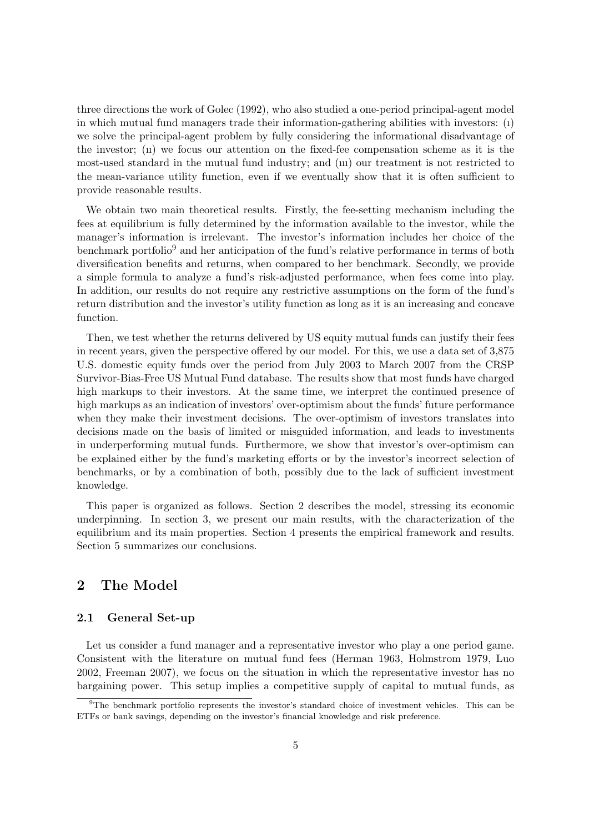three directions the work of Golec (1992), who also studied a one-period principal-agent model in which mutual fund managers trade their information-gathering abilities with investors: (ı) we solve the principal-agent problem by fully considering the informational disadvantage of the investor;  $\overline{u}$  we focus our attention on the fixed-fee compensation scheme as it is the most-used standard in the mutual fund industry; and (ııı) our treatment is not restricted to the mean-variance utility function, even if we eventually show that it is often sufficient to provide reasonable results.

We obtain two main theoretical results. Firstly, the fee-setting mechanism including the fees at equilibrium is fully determined by the information available to the investor, while the manager's information is irrelevant. The investor's information includes her choice of the benchmark portfolio<sup>9</sup> and her anticipation of the fund's relative performance in terms of both diversification benefits and returns, when compared to her benchmark. Secondly, we provide a simple formula to analyze a fund's risk-adjusted performance, when fees come into play. In addition, our results do not require any restrictive assumptions on the form of the fund's return distribution and the investor's utility function as long as it is an increasing and concave function.

Then, we test whether the returns delivered by US equity mutual funds can justify their fees in recent years, given the perspective offered by our model. For this, we use a data set of 3,875 U.S. domestic equity funds over the period from July 2003 to March 2007 from the CRSP Survivor-Bias-Free US Mutual Fund database. The results show that most funds have charged high markups to their investors. At the same time, we interpret the continued presence of high markups as an indication of investors' over-optimism about the funds' future performance when they make their investment decisions. The over-optimism of investors translates into decisions made on the basis of limited or misguided information, and leads to investments in underperforming mutual funds. Furthermore, we show that investor's over-optimism can be explained either by the fund's marketing efforts or by the investor's incorrect selection of benchmarks, or by a combination of both, possibly due to the lack of sufficient investment knowledge.

This paper is organized as follows. Section 2 describes the model, stressing its economic underpinning. In section 3, we present our main results, with the characterization of the equilibrium and its main properties. Section 4 presents the empirical framework and results. Section 5 summarizes our conclusions.

# 2 The Model

### 2.1 General Set-up

Let us consider a fund manager and a representative investor who play a one period game. Consistent with the literature on mutual fund fees (Herman 1963, Holmstrom 1979, Luo 2002, Freeman 2007), we focus on the situation in which the representative investor has no bargaining power. This setup implies a competitive supply of capital to mutual funds, as

 $9$ The benchmark portfolio represents the investor's standard choice of investment vehicles. This can be ETFs or bank savings, depending on the investor's financial knowledge and risk preference.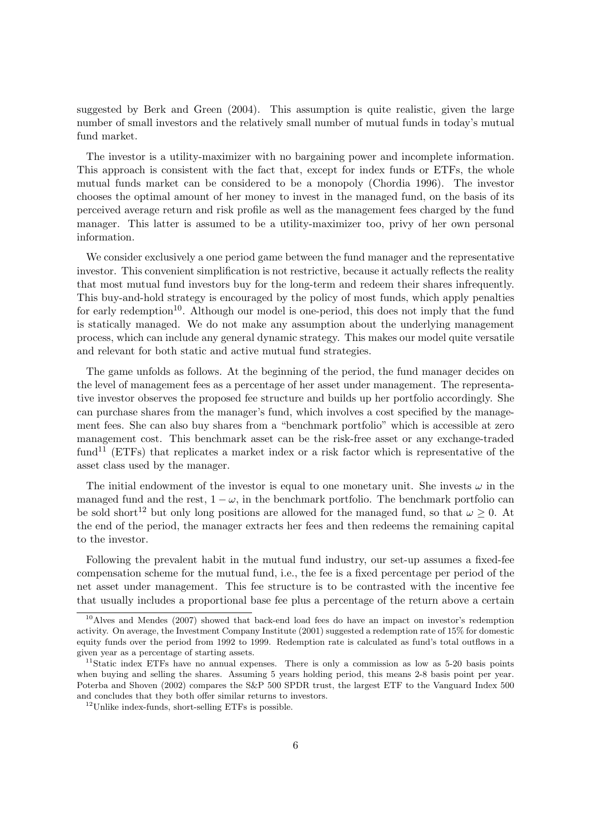suggested by Berk and Green (2004). This assumption is quite realistic, given the large number of small investors and the relatively small number of mutual funds in today's mutual fund market.

The investor is a utility-maximizer with no bargaining power and incomplete information. This approach is consistent with the fact that, except for index funds or ETFs, the whole mutual funds market can be considered to be a monopoly (Chordia 1996). The investor chooses the optimal amount of her money to invest in the managed fund, on the basis of its perceived average return and risk profile as well as the management fees charged by the fund manager. This latter is assumed to be a utility-maximizer too, privy of her own personal information.

We consider exclusively a one period game between the fund manager and the representative investor. This convenient simplification is not restrictive, because it actually reflects the reality that most mutual fund investors buy for the long-term and redeem their shares infrequently. This buy-and-hold strategy is encouraged by the policy of most funds, which apply penalties for early redemption<sup>10</sup>. Although our model is one-period, this does not imply that the fund is statically managed. We do not make any assumption about the underlying management process, which can include any general dynamic strategy. This makes our model quite versatile and relevant for both static and active mutual fund strategies.

The game unfolds as follows. At the beginning of the period, the fund manager decides on the level of management fees as a percentage of her asset under management. The representative investor observes the proposed fee structure and builds up her portfolio accordingly. She can purchase shares from the manager's fund, which involves a cost specified by the management fees. She can also buy shares from a "benchmark portfolio" which is accessible at zero management cost. This benchmark asset can be the risk-free asset or any exchange-traded fund<sup>11</sup> (ETFs) that replicates a market index or a risk factor which is representative of the asset class used by the manager.

The initial endowment of the investor is equal to one monetary unit. She invests  $\omega$  in the managed fund and the rest,  $1 - \omega$ , in the benchmark portfolio. The benchmark portfolio can be sold short<sup>12</sup> but only long positions are allowed for the managed fund, so that  $\omega \geq 0$ . At the end of the period, the manager extracts her fees and then redeems the remaining capital to the investor.

Following the prevalent habit in the mutual fund industry, our set-up assumes a fixed-fee compensation scheme for the mutual fund, i.e., the fee is a fixed percentage per period of the net asset under management. This fee structure is to be contrasted with the incentive fee that usually includes a proportional base fee plus a percentage of the return above a certain

 $10$ Alves and Mendes (2007) showed that back-end load fees do have an impact on investor's redemption activity. On average, the Investment Company Institute (2001) suggested a redemption rate of 15% for domestic equity funds over the period from 1992 to 1999. Redemption rate is calculated as fund's total outflows in a given year as a percentage of starting assets.

<sup>&</sup>lt;sup>11</sup>Static index ETFs have no annual expenses. There is only a commission as low as  $5-20$  basis points when buying and selling the shares. Assuming 5 years holding period, this means 2-8 basis point per year. Poterba and Shoven (2002) compares the S&P 500 SPDR trust, the largest ETF to the Vanguard Index 500 and concludes that they both offer similar returns to investors.

<sup>12</sup>Unlike index-funds, short-selling ETFs is possible.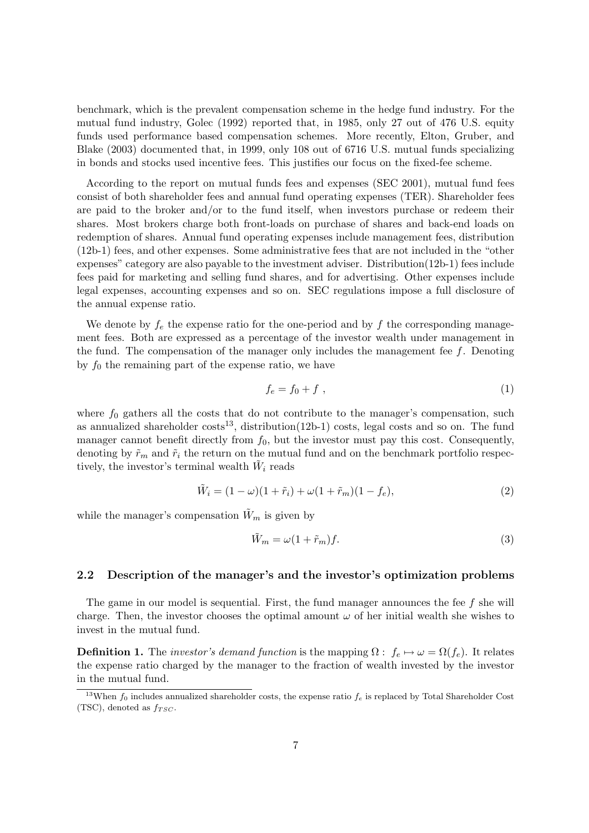benchmark, which is the prevalent compensation scheme in the hedge fund industry. For the mutual fund industry, Golec (1992) reported that, in 1985, only 27 out of 476 U.S. equity funds used performance based compensation schemes. More recently, Elton, Gruber, and Blake (2003) documented that, in 1999, only 108 out of 6716 U.S. mutual funds specializing in bonds and stocks used incentive fees. This justifies our focus on the fixed-fee scheme.

According to the report on mutual funds fees and expenses (SEC 2001), mutual fund fees consist of both shareholder fees and annual fund operating expenses (TER). Shareholder fees are paid to the broker and/or to the fund itself, when investors purchase or redeem their shares. Most brokers charge both front-loads on purchase of shares and back-end loads on redemption of shares. Annual fund operating expenses include management fees, distribution (12b-1) fees, and other expenses. Some administrative fees that are not included in the "other expenses" category are also payable to the investment adviser. Distribution(12b-1) fees include fees paid for marketing and selling fund shares, and for advertising. Other expenses include legal expenses, accounting expenses and so on. SEC regulations impose a full disclosure of the annual expense ratio.

We denote by  $f_e$  the expense ratio for the one-period and by f the corresponding management fees. Both are expressed as a percentage of the investor wealth under management in the fund. The compensation of the manager only includes the management fee  $f$ . Denoting by  $f_0$  the remaining part of the expense ratio, we have

$$
f_e = f_0 + f \tag{1}
$$

where  $f_0$  gathers all the costs that do not contribute to the manager's compensation, such as annualized shareholder  $costs^{13}$ , distribution(12b-1) costs, legal costs and so on. The fund manager cannot benefit directly from  $f_0$ , but the investor must pay this cost. Consequently, denoting by  $\tilde{r}_m$  and  $\tilde{r}_i$  the return on the mutual fund and on the benchmark portfolio respectively, the investor's terminal wealth  $\tilde{W}_i$  reads

$$
\tilde{W}_i = (1 - \omega)(1 + \tilde{r}_i) + \omega(1 + \tilde{r}_m)(1 - f_e),
$$
\n(2)

while the manager's compensation  $\tilde{W}_m$  is given by

$$
\tilde{W}_m = \omega (1 + \tilde{r}_m) f. \tag{3}
$$

#### 2.2 Description of the manager's and the investor's optimization problems

The game in our model is sequential. First, the fund manager announces the fee f she will charge. Then, the investor chooses the optimal amount  $\omega$  of her initial wealth she wishes to invest in the mutual fund.

**Definition 1.** The *investor's demand function* is the mapping  $\Omega : f_e \mapsto \omega = \Omega(f_e)$ . It relates the expense ratio charged by the manager to the fraction of wealth invested by the investor in the mutual fund.

<sup>&</sup>lt;sup>13</sup>When  $f_0$  includes annualized shareholder costs, the expense ratio  $f_e$  is replaced by Total Shareholder Cost (TSC), denoted as  $f_{TSC}$ .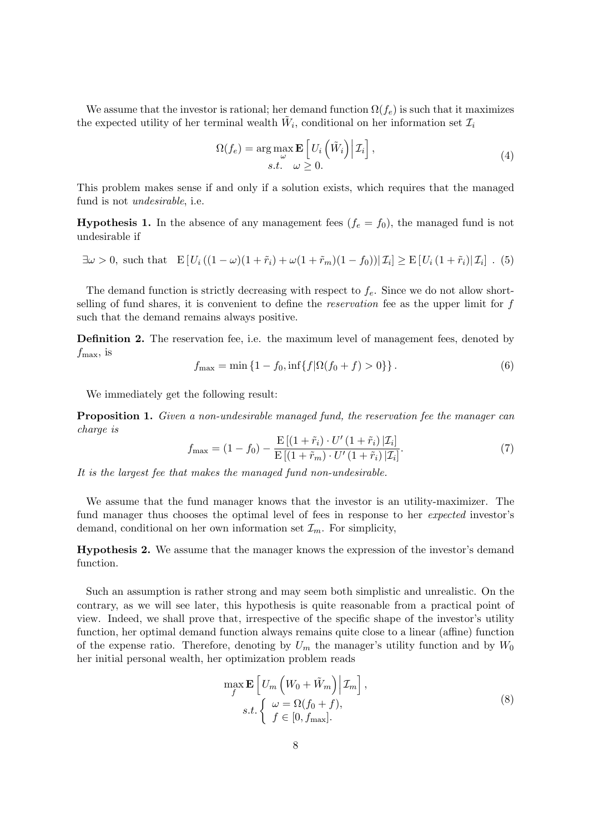We assume that the investor is rational; her demand function  $\Omega(f_e)$  is such that it maximizes the expected utility of her terminal wealth  $\tilde{W}_i$ , conditional on her information set  $\mathcal{I}_i$ 

$$
\Omega(f_e) = \underset{\substack{\omega \\ s.t.}}{\arg \max_{\substack{\omega \\ \omega \geq 0.}} E\left[U_i\left(\tilde{W}_i\right) \middle| \mathcal{I}_i\right],\tag{4}
$$

This problem makes sense if and only if a solution exists, which requires that the managed fund is not undesirable, i.e.

**Hypothesis 1.** In the absence of any management fees  $(f_e = f_0)$ , the managed fund is not undesirable if

$$
\exists \omega > 0, \text{ such that } \mathbb{E}\left[U_i\left((1-\omega)(1+\tilde{r}_i)+\omega(1+\tilde{r}_m)(1-f_0)\right)|\mathcal{I}_i\right] \ge \mathbb{E}\left[U_i\left(1+\tilde{r}_i\right)|\mathcal{I}_i\right].
$$
 (5)

The demand function is strictly decreasing with respect to  $f_e$ . Since we do not allow shortselling of fund shares, it is convenient to define the reservation fee as the upper limit for f such that the demand remains always positive.

**Definition 2.** The reservation fee, i.e. the maximum level of management fees, denoted by  $f_{\text{max}}$ , is

$$
f_{\max} = \min\left\{1 - f_0, \inf\{f|\Omega(f_0 + f) > 0\}\right\}.\tag{6}
$$

We immediately get the following result:

**Proposition 1.** Given a non-undesirable managed fund, the reservation fee the manager can charge is

$$
f_{\max} = (1 - f_0) - \frac{\mathrm{E}[(1 + \tilde{r}_i) \cdot U' (1 + \tilde{r}_i) | \mathcal{I}_i]}{\mathrm{E}[(1 + \tilde{r}_m) \cdot U' (1 + \tilde{r}_i) | \mathcal{I}_i]}.
$$
(7)

It is the largest fee that makes the managed fund non-undesirable.

We assume that the fund manager knows that the investor is an utility-maximizer. The fund manager thus chooses the optimal level of fees in response to her *expected* investor's demand, conditional on her own information set  $\mathcal{I}_m$ . For simplicity,

Hypothesis 2. We assume that the manager knows the expression of the investor's demand function.

Such an assumption is rather strong and may seem both simplistic and unrealistic. On the contrary, as we will see later, this hypothesis is quite reasonable from a practical point of view. Indeed, we shall prove that, irrespective of the specific shape of the investor's utility function, her optimal demand function always remains quite close to a linear (affine) function of the expense ratio. Therefore, denoting by  $U_m$  the manager's utility function and by  $W_0$ her initial personal wealth, her optimization problem reads

$$
\max_{f} \mathbf{E} \left[ U_m \left( W_0 + \tilde{W}_m \right) \middle| \mathcal{I}_m \right],
$$
\n
$$
s.t. \left\{ \begin{array}{l} \omega = \Omega(f_0 + f), \\ f \in [0, f_{\text{max}}]. \end{array} \right.
$$
\n(8)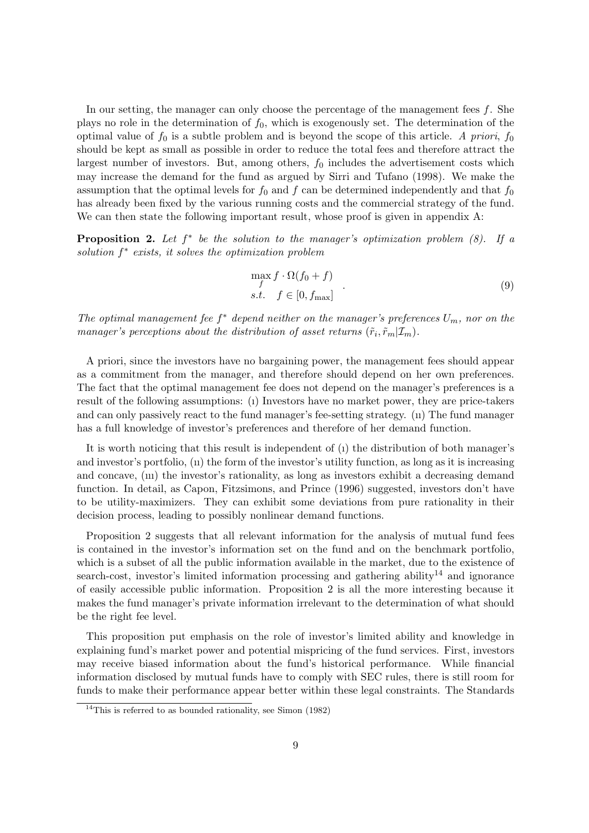In our setting, the manager can only choose the percentage of the management fees  $f$ . She plays no role in the determination of  $f_0$ , which is exogenously set. The determination of the optimal value of  $f_0$  is a subtle problem and is beyond the scope of this article. A priori,  $f_0$ should be kept as small as possible in order to reduce the total fees and therefore attract the largest number of investors. But, among others,  $f_0$  includes the advertisement costs which may increase the demand for the fund as argued by Sirri and Tufano (1998). We make the assumption that the optimal levels for  $f_0$  and f can be determined independently and that  $f_0$ has already been fixed by the various running costs and the commercial strategy of the fund. We can then state the following important result, whose proof is given in appendix A:

**Proposition 2.** Let  $f^*$  be the solution to the manager's optimization problem  $(8)$ . If a solution  $f^*$  exists, it solves the optimization problem

$$
\max_{f} f \cdot \Omega(f_0 + f) s.t. \quad f \in [0, f_{\text{max}}]
$$
 (9)

The optimal management fee  $f^*$  depend neither on the manager's preferences  $U_m$ , nor on the manager's perceptions about the distribution of asset returns  $(\tilde{r}_i, \tilde{r}_m | \mathcal{I}_m)$ .

A priori, since the investors have no bargaining power, the management fees should appear as a commitment from the manager, and therefore should depend on her own preferences. The fact that the optimal management fee does not depend on the manager's preferences is a result of the following assumptions: (ı) Investors have no market power, they are price-takers and can only passively react to the fund manager's fee-setting strategy. (ıı) The fund manager has a full knowledge of investor's preferences and therefore of her demand function.

It is worth noticing that this result is independent of (ı) the distribution of both manager's and investor's portfolio, (ıı) the form of the investor's utility function, as long as it is increasing and concave, (ııı) the investor's rationality, as long as investors exhibit a decreasing demand function. In detail, as Capon, Fitzsimons, and Prince (1996) suggested, investors don't have to be utility-maximizers. They can exhibit some deviations from pure rationality in their decision process, leading to possibly nonlinear demand functions.

Proposition 2 suggests that all relevant information for the analysis of mutual fund fees is contained in the investor's information set on the fund and on the benchmark portfolio, which is a subset of all the public information available in the market, due to the existence of search-cost, investor's limited information processing and gathering ability<sup>14</sup> and ignorance of easily accessible public information. Proposition 2 is all the more interesting because it makes the fund manager's private information irrelevant to the determination of what should be the right fee level.

This proposition put emphasis on the role of investor's limited ability and knowledge in explaining fund's market power and potential mispricing of the fund services. First, investors may receive biased information about the fund's historical performance. While financial information disclosed by mutual funds have to comply with SEC rules, there is still room for funds to make their performance appear better within these legal constraints. The Standards

<sup>&</sup>lt;sup>14</sup>This is referred to as bounded rationality, see Simon  $(1982)$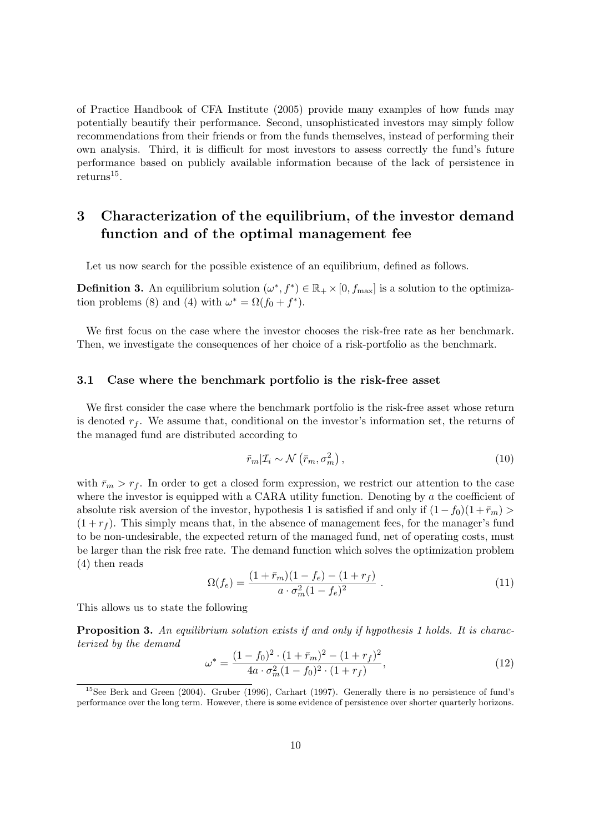of Practice Handbook of CFA Institute (2005) provide many examples of how funds may potentially beautify their performance. Second, unsophisticated investors may simply follow recommendations from their friends or from the funds themselves, instead of performing their own analysis. Third, it is difficult for most investors to assess correctly the fund's future performance based on publicly available information because of the lack of persistence in  $returns<sup>15</sup>$ .

# 3 Characterization of the equilibrium, of the investor demand function and of the optimal management fee

Let us now search for the possible existence of an equilibrium, defined as follows.

**Definition 3.** An equilibrium solution  $(\omega^*, f^*) \in \mathbb{R}_+ \times [0, f_{\text{max}}]$  is a solution to the optimization problems (8) and (4) with  $\omega^* = \Omega(f_0 + f^*)$ .

We first focus on the case where the investor chooses the risk-free rate as her benchmark. Then, we investigate the consequences of her choice of a risk-portfolio as the benchmark.

#### 3.1 Case where the benchmark portfolio is the risk-free asset

We first consider the case where the benchmark portfolio is the risk-free asset whose return is denoted  $r_f$ . We assume that, conditional on the investor's information set, the returns of the managed fund are distributed according to

$$
\tilde{r}_m | \mathcal{I}_i \sim \mathcal{N} \left( \bar{r}_m, \sigma_m^2 \right), \tag{10}
$$

with  $\bar{r}_m > r_f$ . In order to get a closed form expression, we restrict our attention to the case where the investor is equipped with a CARA utility function. Denoting by a the coefficient of absolute risk aversion of the investor, hypothesis 1 is satisfied if and only if  $(1-f_0)(1+\bar{r}_m)$  $(1 + r_f)$ . This simply means that, in the absence of management fees, for the manager's fund to be non-undesirable, the expected return of the managed fund, net of operating costs, must be larger than the risk free rate. The demand function which solves the optimization problem (4) then reads

$$
\Omega(f_e) = \frac{(1 + \bar{r}_m)(1 - f_e) - (1 + r_f)}{a \cdot \sigma_m^2 (1 - f_e)^2} \,. \tag{11}
$$

This allows us to state the following

**Proposition 3.** An equilibrium solution exists if and only if hypothesis 1 holds. It is characterized by the demand

$$
\omega^* = \frac{(1 - f_0)^2 \cdot (1 + \bar{r}_m)^2 - (1 + r_f)^2}{4a \cdot \sigma_m^2 (1 - f_0)^2 \cdot (1 + r_f)},\tag{12}
$$

 $15$ See Berk and Green (2004). Gruber (1996), Carhart (1997). Generally there is no persistence of fund's performance over the long term. However, there is some evidence of persistence over shorter quarterly horizons.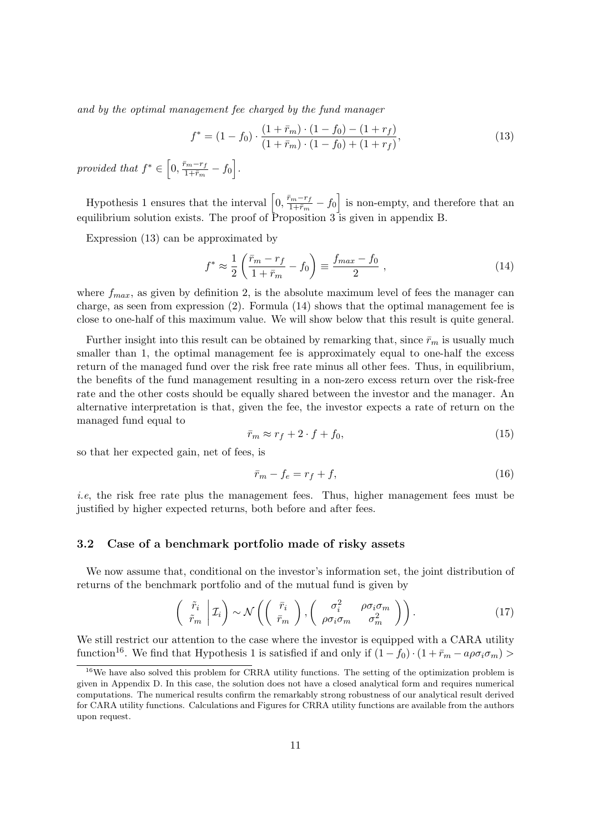and by the optimal management fee charged by the fund manager

$$
f^* = (1 - f_0) \cdot \frac{(1 + \bar{r}_m) \cdot (1 - f_0) - (1 + r_f)}{(1 + \bar{r}_m) \cdot (1 - f_0) + (1 + r_f)},
$$
\n(13)

provided that  $f^* \in$ h  $0, \frac{\bar{r}_m-r_f}{1+\bar{r}_h}$  $\frac{r_m-r_f}{1+\bar{r}_m}-f_0$ i .

Hypothesis 1 ensures that the interval  $\left[0, \frac{\bar{r}_m-r_f}{1+\bar{r}}\right]$  $\frac{\overline{m-r_f}}{1+\overline{r}_m}-f_0$ i is non-empty, and therefore that an equilibrium solution exists. The proof of Proposition 3 is given in appendix B.

Expression (13) can be approximated by

$$
f^* \approx \frac{1}{2} \left( \frac{\bar{r}_m - r_f}{1 + \bar{r}_m} - f_0 \right) \equiv \frac{f_{max} - f_0}{2} , \qquad (14)
$$

where  $f_{max}$ , as given by definition 2, is the absolute maximum level of fees the manager can charge, as seen from expression (2). Formula (14) shows that the optimal management fee is close to one-half of this maximum value. We will show below that this result is quite general.

Further insight into this result can be obtained by remarking that, since  $\bar{r}_m$  is usually much smaller than 1, the optimal management fee is approximately equal to one-half the excess return of the managed fund over the risk free rate minus all other fees. Thus, in equilibrium, the benefits of the fund management resulting in a non-zero excess return over the risk-free rate and the other costs should be equally shared between the investor and the manager. An alternative interpretation is that, given the fee, the investor expects a rate of return on the managed fund equal to

$$
\bar{r}_m \approx r_f + 2 \cdot f + f_0,\tag{15}
$$

so that her expected gain, net of fees, is

$$
\bar{r}_m - f_e = r_f + f,\tag{16}
$$

i.e, the risk free rate plus the management fees. Thus, higher management fees must be justified by higher expected returns, both before and after fees.

#### 3.2 Case of a benchmark portfolio made of risky assets

We now assume that, conditional on the investor's information set, the joint distribution of returns of the benchmark portfolio and of the mutual fund is given by

$$
\begin{pmatrix} \tilde{r}_i \\ \tilde{r}_m \end{pmatrix} \sim \mathcal{N} \left( \begin{pmatrix} \bar{r}_i \\ \bar{r}_m \end{pmatrix}, \begin{pmatrix} \sigma_i^2 & \rho \sigma_i \sigma_m \\ \rho \sigma_i \sigma_m & \sigma_m^2 \end{pmatrix} \right). \tag{17}
$$

We still restrict our attention to the case where the investor is equipped with a CARA utility function<sup>16</sup>. We find that Hypothesis 1 is satisfied if and only if  $(1 - f_0) \cdot (1 + \bar{r}_m - a \rho \sigma_i \sigma_m)$ 

 $16$ We have also solved this problem for CRRA utility functions. The setting of the optimization problem is given in Appendix D. In this case, the solution does not have a closed analytical form and requires numerical computations. The numerical results confirm the remarkably strong robustness of our analytical result derived for CARA utility functions. Calculations and Figures for CRRA utility functions are available from the authors upon request.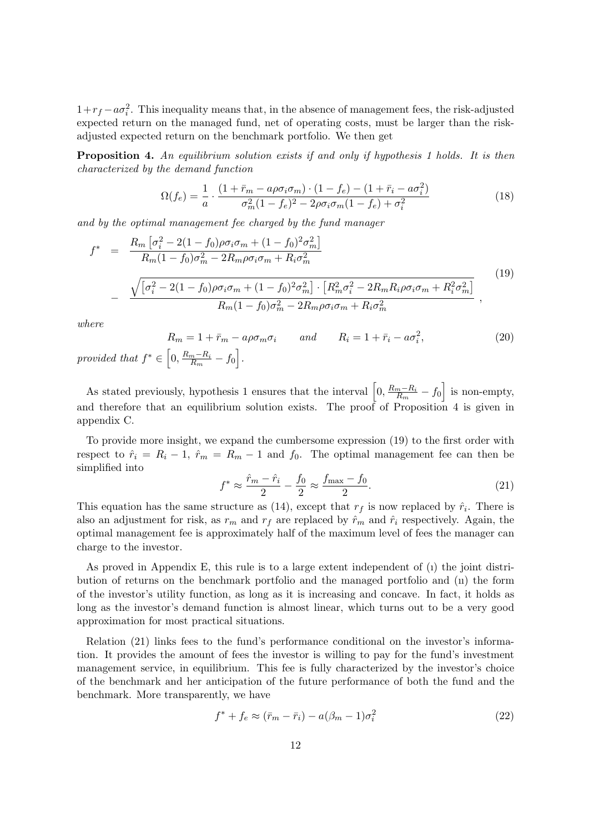$1+r_f - a\sigma_i^2$ . This inequality means that, in the absence of management fees, the risk-adjusted expected return on the managed fund, net of operating costs, must be larger than the riskadjusted expected return on the benchmark portfolio. We then get

Proposition 4. An equilibrium solution exists if and only if hypothesis 1 holds. It is then characterized by the demand function

$$
\Omega(f_e) = \frac{1}{a} \cdot \frac{(1 + \bar{r}_m - a\rho\sigma_i\sigma_m) \cdot (1 - f_e) - (1 + \bar{r}_i - a\sigma_i^2)}{\sigma_m^2 (1 - f_e)^2 - 2\rho\sigma_i\sigma_m (1 - f_e) + \sigma_i^2}
$$
(18)

and by the optimal management fee charged by the fund manager

$$
f^* = \frac{R_m \left[\sigma_i^2 - 2(1 - f_0)\rho\sigma_i\sigma_m + (1 - f_0)^2\sigma_m^2\right]}{R_m(1 - f_0)\sigma_m^2 - 2R_m\rho\sigma_i\sigma_m + R_i\sigma_m^2}
$$
  
- 
$$
\frac{\sqrt{\left[\sigma_i^2 - 2(1 - f_0)\rho\sigma_i\sigma_m + (1 - f_0)^2\sigma_m^2\right] \cdot \left[R_m^2\sigma_i^2 - 2R_mR_i\rho\sigma_i\sigma_m + R_i^2\sigma_m^2\right]}}{R_m(1 - f_0)\sigma_m^2 - 2R_m\rho\sigma_i\sigma_m + R_i\sigma_m^2}
$$
 (19)

where

 $R_m = 1 + \bar{r}_m - a\rho\sigma_m\sigma_i$  and  $R_i = 1 + \bar{r}_i - a\sigma_i^2$  $(20)$ provided that  $f^* \in \left[0, \frac{R_m - R_i}{R}\right]$  $\frac{m - R_i}{R_m} - f_0$ .

As stated previously, hypothesis 1 ensures that the interval  $\left[0, \frac{R_m - R_i}{R}\right]$  $\frac{m-R_i}{R_m}-f_0$ i is non-empty, and therefore that an equilibrium solution exists. The proof of Proposition 4 is given in appendix C.

To provide more insight, we expand the cumbersome expression (19) to the first order with respect to  $\hat{r}_i = R_i - 1$ ,  $\hat{r}_m = R_m - 1$  and  $f_0$ . The optimal management fee can then be simplified into

$$
f^* \approx \frac{\hat{r}_m - \hat{r}_i}{2} - \frac{f_0}{2} \approx \frac{f_{\text{max}} - f_0}{2}.
$$
 (21)

This equation has the same structure as (14), except that  $r_f$  is now replaced by  $\hat{r}_i$ . There is also an adjustment for risk, as  $r_m$  and  $r_f$  are replaced by  $\hat{r}_m$  and  $\hat{r}_i$  respectively. Again, the optimal management fee is approximately half of the maximum level of fees the manager can charge to the investor.

As proved in Appendix E, this rule is to a large extent independent of (ı) the joint distribution of returns on the benchmark portfolio and the managed portfolio and (ıı) the form of the investor's utility function, as long as it is increasing and concave. In fact, it holds as long as the investor's demand function is almost linear, which turns out to be a very good approximation for most practical situations.

Relation (21) links fees to the fund's performance conditional on the investor's information. It provides the amount of fees the investor is willing to pay for the fund's investment management service, in equilibrium. This fee is fully characterized by the investor's choice of the benchmark and her anticipation of the future performance of both the fund and the benchmark. More transparently, we have

$$
f^* + f_e \approx (\bar{r}_m - \bar{r}_i) - a(\beta_m - 1)\sigma_i^2 \tag{22}
$$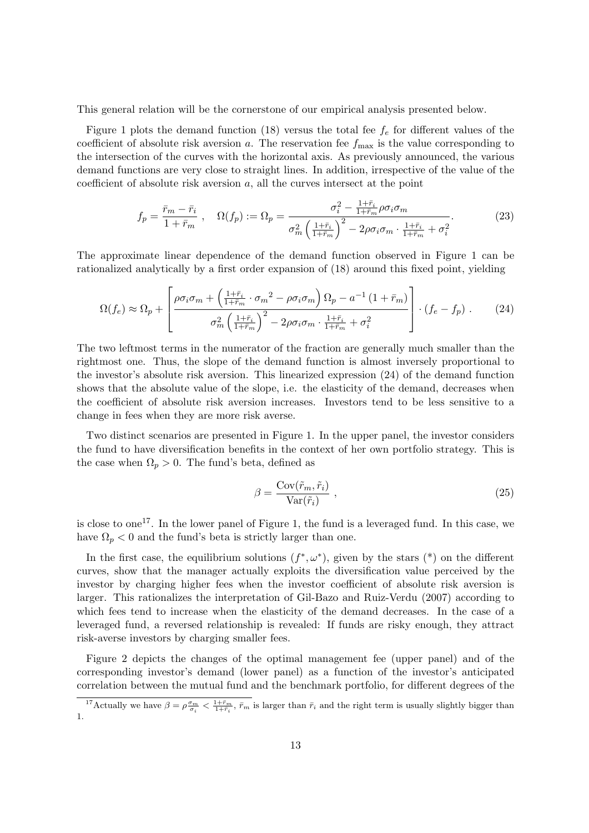This general relation will be the cornerstone of our empirical analysis presented below.

Figure 1 plots the demand function (18) versus the total fee  $f_e$  for different values of the coefficient of absolute risk aversion a. The reservation fee  $f_{\text{max}}$  is the value corresponding to the intersection of the curves with the horizontal axis. As previously announced, the various demand functions are very close to straight lines. In addition, irrespective of the value of the coefficient of absolute risk aversion  $a$ , all the curves intersect at the point

$$
f_p = \frac{\bar{r}_m - \bar{r}_i}{1 + \bar{r}_m} , \quad \Omega(f_p) := \Omega_p = \frac{\sigma_i^2 - \frac{1 + \bar{r}_i}{1 + \bar{r}_m} \rho \sigma_i \sigma_m}{\sigma_m^2 \left(\frac{1 + \bar{r}_i}{1 + \bar{r}_m}\right)^2 - 2\rho \sigma_i \sigma_m \cdot \frac{1 + \bar{r}_i}{1 + \bar{r}_m} + \sigma_i^2} . \tag{23}
$$

The approximate linear dependence of the demand function observed in Figure 1 can be rationalized analytically by a first order expansion of (18) around this fixed point, yielding

$$
\Omega(f_e) \approx \Omega_p + \left[ \frac{\rho \sigma_i \sigma_m + \left( \frac{1 + \bar{r}_i}{1 + \bar{r}_m} \cdot \sigma_m^2 - \rho \sigma_i \sigma_m \right) \Omega_p - a^{-1} \left( 1 + \bar{r}_m \right)}{\sigma_m^2 \left( \frac{1 + \bar{r}_i}{1 + \bar{r}_m} \right)^2 - 2\rho \sigma_i \sigma_m \cdot \frac{1 + \bar{r}_i}{1 + \bar{r}_m} + \sigma_i^2} \right] \cdot (f_e - f_p) \,. \tag{24}
$$

The two leftmost terms in the numerator of the fraction are generally much smaller than the rightmost one. Thus, the slope of the demand function is almost inversely proportional to the investor's absolute risk aversion. This linearized expression (24) of the demand function shows that the absolute value of the slope, i.e. the elasticity of the demand, decreases when the coefficient of absolute risk aversion increases. Investors tend to be less sensitive to a change in fees when they are more risk averse.

Two distinct scenarios are presented in Figure 1. In the upper panel, the investor considers the fund to have diversification benefits in the context of her own portfolio strategy. This is the case when  $\Omega_p > 0$ . The fund's beta, defined as

$$
\beta = \frac{\text{Cov}(\tilde{r}_m, \tilde{r}_i)}{\text{Var}(\tilde{r}_i)}\,,\tag{25}
$$

is close to one<sup>17</sup>. In the lower panel of Figure 1, the fund is a leveraged fund. In this case, we have  $\Omega_p < 0$  and the fund's beta is strictly larger than one.

In the first case, the equilibrium solutions  $(f^*, \omega^*)$ , given by the stars  $(*)$  on the different curves, show that the manager actually exploits the diversification value perceived by the investor by charging higher fees when the investor coefficient of absolute risk aversion is larger. This rationalizes the interpretation of Gil-Bazo and Ruiz-Verdu (2007) according to which fees tend to increase when the elasticity of the demand decreases. In the case of a leveraged fund, a reversed relationship is revealed: If funds are risky enough, they attract risk-averse investors by charging smaller fees.

Figure 2 depicts the changes of the optimal management fee (upper panel) and of the corresponding investor's demand (lower panel) as a function of the investor's anticipated correlation between the mutual fund and the benchmark portfolio, for different degrees of the

<sup>&</sup>lt;sup>17</sup>Actually we have  $\beta = \rho \frac{\sigma_m}{\sigma_i} < \frac{1+\bar{r}_m}{1+\bar{r}_i}$ ,  $\bar{r}_m$  is larger than  $\bar{r}_i$  and the right term is usually slightly bigger than 1.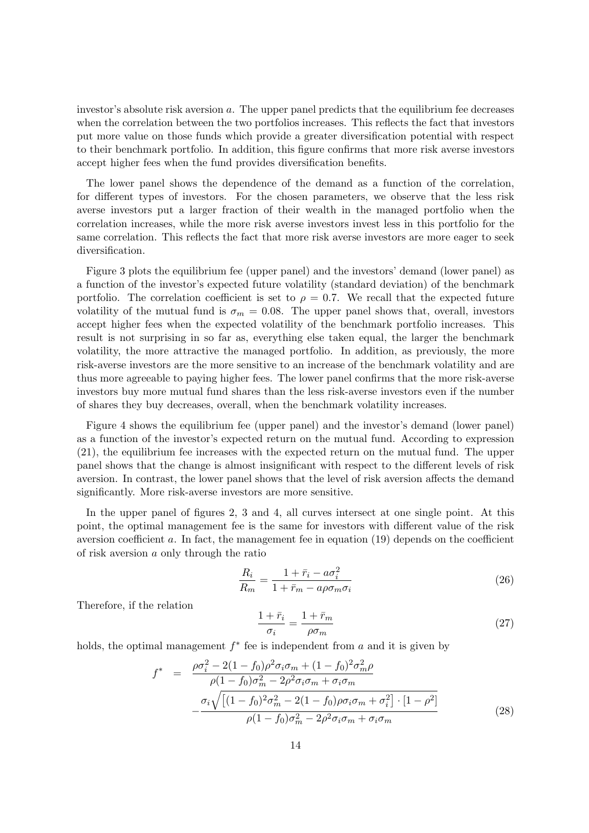investor's absolute risk aversion a. The upper panel predicts that the equilibrium fee decreases when the correlation between the two portfolios increases. This reflects the fact that investors put more value on those funds which provide a greater diversification potential with respect to their benchmark portfolio. In addition, this figure confirms that more risk averse investors accept higher fees when the fund provides diversification benefits.

The lower panel shows the dependence of the demand as a function of the correlation, for different types of investors. For the chosen parameters, we observe that the less risk averse investors put a larger fraction of their wealth in the managed portfolio when the correlation increases, while the more risk averse investors invest less in this portfolio for the same correlation. This reflects the fact that more risk averse investors are more eager to seek diversification.

Figure 3 plots the equilibrium fee (upper panel) and the investors' demand (lower panel) as a function of the investor's expected future volatility (standard deviation) of the benchmark portfolio. The correlation coefficient is set to  $\rho = 0.7$ . We recall that the expected future volatility of the mutual fund is  $\sigma_m = 0.08$ . The upper panel shows that, overall, investors accept higher fees when the expected volatility of the benchmark portfolio increases. This result is not surprising in so far as, everything else taken equal, the larger the benchmark volatility, the more attractive the managed portfolio. In addition, as previously, the more risk-averse investors are the more sensitive to an increase of the benchmark volatility and are thus more agreeable to paying higher fees. The lower panel confirms that the more risk-averse investors buy more mutual fund shares than the less risk-averse investors even if the number of shares they buy decreases, overall, when the benchmark volatility increases.

Figure 4 shows the equilibrium fee (upper panel) and the investor's demand (lower panel) as a function of the investor's expected return on the mutual fund. According to expression (21), the equilibrium fee increases with the expected return on the mutual fund. The upper panel shows that the change is almost insignificant with respect to the different levels of risk aversion. In contrast, the lower panel shows that the level of risk aversion affects the demand significantly. More risk-averse investors are more sensitive.

In the upper panel of figures 2, 3 and 4, all curves intersect at one single point. At this point, the optimal management fee is the same for investors with different value of the risk aversion coefficient a. In fact, the management fee in equation (19) depends on the coefficient of risk aversion a only through the ratio

$$
\frac{R_i}{R_m} = \frac{1 + \bar{r}_i - a\sigma_i^2}{1 + \bar{r}_m - a\rho\sigma_m\sigma_i} \tag{26}
$$

Therefore, if the relation

$$
\frac{1+\bar{r}_i}{\sigma_i} = \frac{1+\bar{r}_m}{\rho\sigma_m} \tag{27}
$$

holds, the optimal management  $f^*$  fee is independent from  $a$  and it is given by

$$
f^* = \frac{\rho \sigma_i^2 - 2(1 - f_0)\rho^2 \sigma_i \sigma_m + (1 - f_0)^2 \sigma_m^2 \rho}{\rho (1 - f_0)\sigma_m^2 - 2\rho^2 \sigma_i \sigma_m + \sigma_i \sigma_m} -\frac{\sigma_i \sqrt{[(1 - f_0)^2 \sigma_m^2 - 2(1 - f_0)\rho \sigma_i \sigma_m + \sigma_i^2] \cdot [1 - \rho^2]}}{\rho (1 - f_0)\sigma_m^2 - 2\rho^2 \sigma_i \sigma_m + \sigma_i \sigma_m}
$$
(28)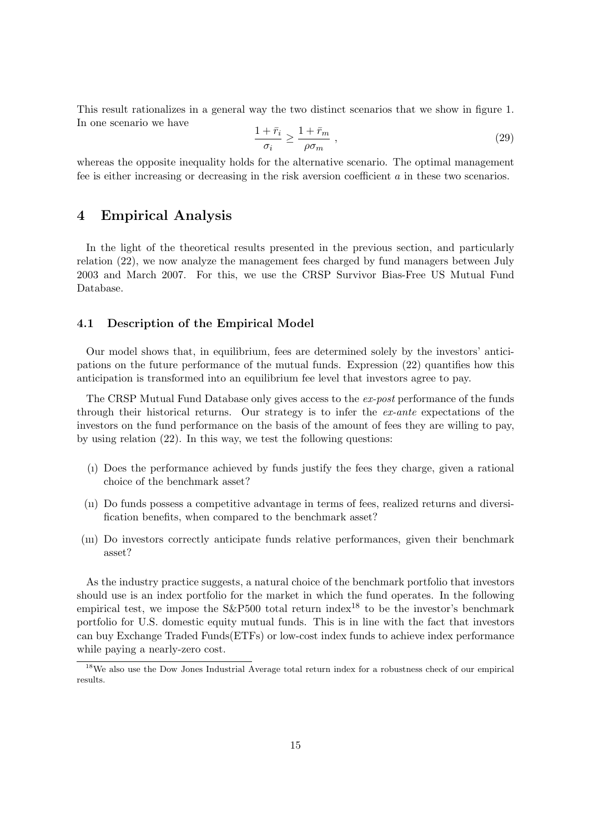This result rationalizes in a general way the two distinct scenarios that we show in figure 1. In one scenario we have

$$
\frac{1+\bar{r}_i}{\sigma_i} \ge \frac{1+\bar{r}_m}{\rho\sigma_m} \;, \tag{29}
$$

whereas the opposite inequality holds for the alternative scenario. The optimal management fee is either increasing or decreasing in the risk aversion coefficient a in these two scenarios.

## 4 Empirical Analysis

In the light of the theoretical results presented in the previous section, and particularly relation (22), we now analyze the management fees charged by fund managers between July 2003 and March 2007. For this, we use the CRSP Survivor Bias-Free US Mutual Fund Database.

#### 4.1 Description of the Empirical Model

Our model shows that, in equilibrium, fees are determined solely by the investors' anticipations on the future performance of the mutual funds. Expression (22) quantifies how this anticipation is transformed into an equilibrium fee level that investors agree to pay.

The CRSP Mutual Fund Database only gives access to the ex-post performance of the funds through their historical returns. Our strategy is to infer the ex-ante expectations of the investors on the fund performance on the basis of the amount of fees they are willing to pay, by using relation (22). In this way, we test the following questions:

- (ı) Does the performance achieved by funds justify the fees they charge, given a rational choice of the benchmark asset?
- (ıı) Do funds possess a competitive advantage in terms of fees, realized returns and diversification benefits, when compared to the benchmark asset?
- (ııı) Do investors correctly anticipate funds relative performances, given their benchmark asset?

As the industry practice suggests, a natural choice of the benchmark portfolio that investors should use is an index portfolio for the market in which the fund operates. In the following empirical test, we impose the  $S\&P500$  total return index<sup>18</sup> to be the investor's benchmark portfolio for U.S. domestic equity mutual funds. This is in line with the fact that investors can buy Exchange Traded Funds(ETFs) or low-cost index funds to achieve index performance while paying a nearly-zero cost.

<sup>18</sup>We also use the Dow Jones Industrial Average total return index for a robustness check of our empirical results.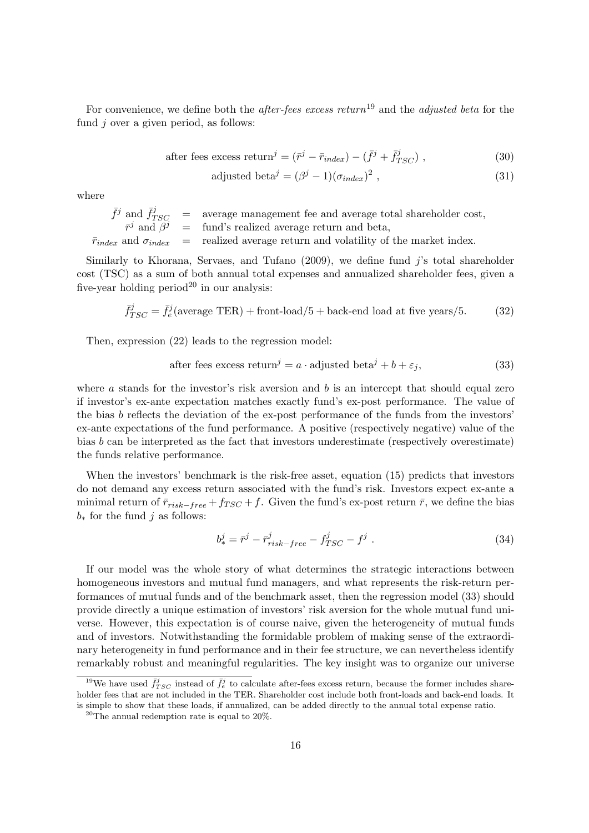For convenience, we define both the *after-fees excess return*<sup>19</sup> and the *adjusted beta* for the fund *i* over a given period, as follows:

after fees excess return<sup>*j*</sup> = 
$$
(\bar{r}^j - \bar{r}_{index}) - (\bar{f}^j + \bar{f}^j_{TSC})
$$
, (30)

adjusted beta<sup>*j*</sup> = 
$$
(\beta^{j} - 1)(\sigma_{index})^{2}
$$
, (31)

where

 $\bar{f}^j$  and  $\bar{f}^j_{TSC}$  = average management fee and average total shareholder cost,  $\bar{r}^j$  and  $\bar{\beta}^j$  = fund's realized average return and beta,  $\bar{r}_{index}$  and  $\sigma_{index}$  = realized average return and volatility of the market index.

Similarly to Khorana, Servaes, and Tufano  $(2009)$ , we define fund j's total shareholder cost (TSC) as a sum of both annual total expenses and annualized shareholder fees, given a five-year holding period<sup>20</sup> in our analysis:

$$
\bar{f}_{TSC}^{j} = \bar{f}_{e}^{j}(\text{average TER}) + \text{front-load}/5 + \text{back-end load at five years}/5. \tag{32}
$$

Then, expression (22) leads to the regression model:

after fees excess return<sup>*j*</sup> = 
$$
a \cdot
$$
 adjusted beta<sup>*j*</sup> +  $b + \varepsilon_j$ , (33)

where  $\alpha$  stands for the investor's risk aversion and  $\dot{b}$  is an intercept that should equal zero if investor's ex-ante expectation matches exactly fund's ex-post performance. The value of the bias b reflects the deviation of the ex-post performance of the funds from the investors' ex-ante expectations of the fund performance. A positive (respectively negative) value of the bias b can be interpreted as the fact that investors underestimate (respectively overestimate) the funds relative performance.

When the investors' benchmark is the risk-free asset, equation (15) predicts that investors do not demand any excess return associated with the fund's risk. Investors expect ex-ante a minimal return of  $\bar{r}_{risk-free} + f_{TSC} + f$ . Given the fund's ex-post return  $\bar{r}$ , we define the bias  $b_*$  for the fund j as follows:

$$
b_{*}^{j} = \bar{r}_{risk-free}^{j} - f_{TSC}^{j} - f_{TSC}^{j} \tag{34}
$$

If our model was the whole story of what determines the strategic interactions between homogeneous investors and mutual fund managers, and what represents the risk-return performances of mutual funds and of the benchmark asset, then the regression model (33) should provide directly a unique estimation of investors' risk aversion for the whole mutual fund universe. However, this expectation is of course naive, given the heterogeneity of mutual funds and of investors. Notwithstanding the formidable problem of making sense of the extraordinary heterogeneity in fund performance and in their fee structure, we can nevertheless identify remarkably robust and meaningful regularities. The key insight was to organize our universe

<sup>&</sup>lt;sup>19</sup>We have used  $\bar{f}_{TSC}^{j}$  instead of  $\bar{f}_{e}^{j}$  to calculate after-fees excess return, because the former includes shareholder fees that are not included in the TER. Shareholder cost include both front-loads and back-end loads. It is simple to show that these loads, if annualized, can be added directly to the annual total expense ratio.

<sup>20</sup>The annual redemption rate is equal to 20%.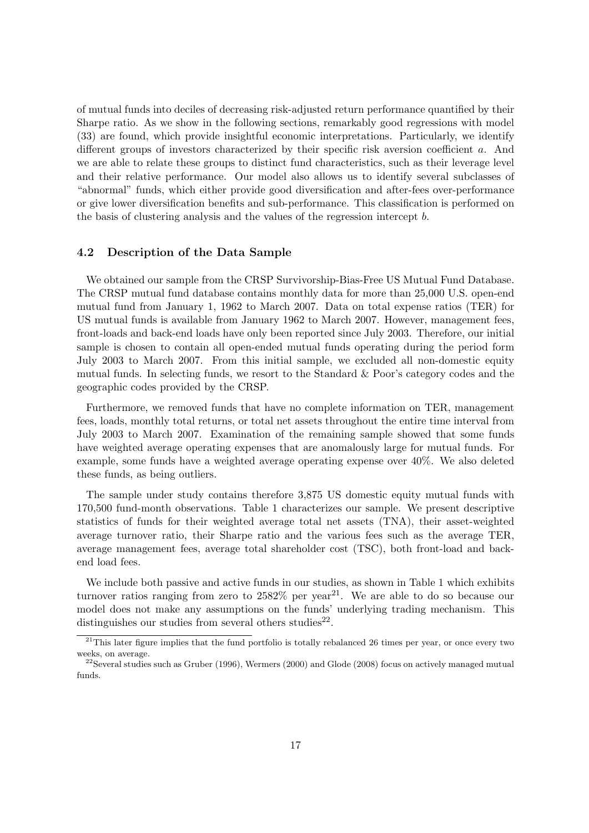of mutual funds into deciles of decreasing risk-adjusted return performance quantified by their Sharpe ratio. As we show in the following sections, remarkably good regressions with model (33) are found, which provide insightful economic interpretations. Particularly, we identify different groups of investors characterized by their specific risk aversion coefficient a. And we are able to relate these groups to distinct fund characteristics, such as their leverage level and their relative performance. Our model also allows us to identify several subclasses of "abnormal" funds, which either provide good diversification and after-fees over-performance or give lower diversification benefits and sub-performance. This classification is performed on the basis of clustering analysis and the values of the regression intercept b.

#### 4.2 Description of the Data Sample

We obtained our sample from the CRSP Survivorship-Bias-Free US Mutual Fund Database. The CRSP mutual fund database contains monthly data for more than 25,000 U.S. open-end mutual fund from January 1, 1962 to March 2007. Data on total expense ratios (TER) for US mutual funds is available from January 1962 to March 2007. However, management fees, front-loads and back-end loads have only been reported since July 2003. Therefore, our initial sample is chosen to contain all open-ended mutual funds operating during the period form July 2003 to March 2007. From this initial sample, we excluded all non-domestic equity mutual funds. In selecting funds, we resort to the Standard & Poor's category codes and the geographic codes provided by the CRSP.

Furthermore, we removed funds that have no complete information on TER, management fees, loads, monthly total returns, or total net assets throughout the entire time interval from July 2003 to March 2007. Examination of the remaining sample showed that some funds have weighted average operating expenses that are anomalously large for mutual funds. For example, some funds have a weighted average operating expense over 40%. We also deleted these funds, as being outliers.

The sample under study contains therefore 3,875 US domestic equity mutual funds with 170,500 fund-month observations. Table 1 characterizes our sample. We present descriptive statistics of funds for their weighted average total net assets (TNA), their asset-weighted average turnover ratio, their Sharpe ratio and the various fees such as the average TER, average management fees, average total shareholder cost (TSC), both front-load and backend load fees.

We include both passive and active funds in our studies, as shown in Table 1 which exhibits turnover ratios ranging from zero to  $2582\%$  per year<sup>21</sup>. We are able to do so because our model does not make any assumptions on the funds' underlying trading mechanism. This distinguishes our studies from several others studies<sup>22</sup>.

<sup>&</sup>lt;sup>21</sup>This later figure implies that the fund portfolio is totally rebalanced 26 times per year, or once every two weeks, on average.

<sup>&</sup>lt;sup>22</sup>Several studies such as Gruber (1996), Wermers (2000) and Glode (2008) focus on actively managed mutual funds.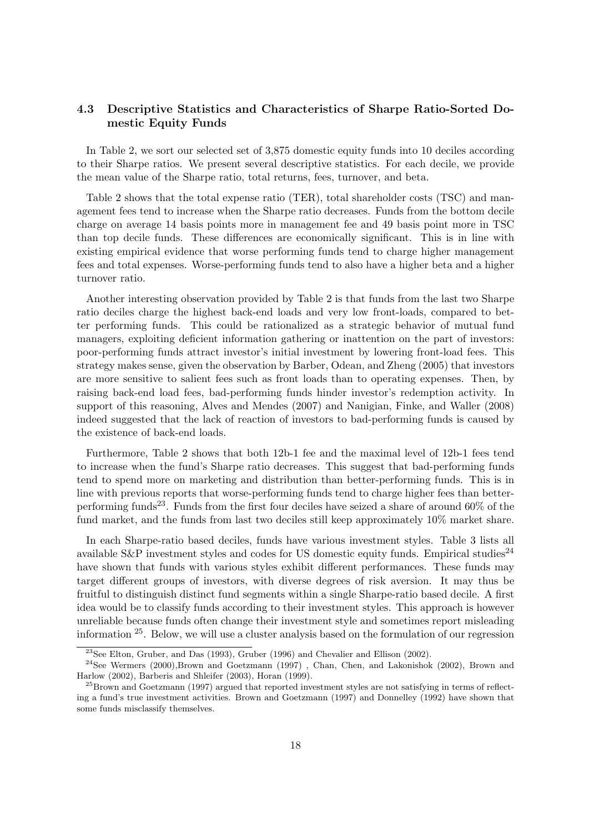## 4.3 Descriptive Statistics and Characteristics of Sharpe Ratio-Sorted Domestic Equity Funds

In Table 2, we sort our selected set of 3,875 domestic equity funds into 10 deciles according to their Sharpe ratios. We present several descriptive statistics. For each decile, we provide the mean value of the Sharpe ratio, total returns, fees, turnover, and beta.

Table 2 shows that the total expense ratio (TER), total shareholder costs (TSC) and management fees tend to increase when the Sharpe ratio decreases. Funds from the bottom decile charge on average 14 basis points more in management fee and 49 basis point more in TSC than top decile funds. These differences are economically significant. This is in line with existing empirical evidence that worse performing funds tend to charge higher management fees and total expenses. Worse-performing funds tend to also have a higher beta and a higher turnover ratio.

Another interesting observation provided by Table 2 is that funds from the last two Sharpe ratio deciles charge the highest back-end loads and very low front-loads, compared to better performing funds. This could be rationalized as a strategic behavior of mutual fund managers, exploiting deficient information gathering or inattention on the part of investors: poor-performing funds attract investor's initial investment by lowering front-load fees. This strategy makes sense, given the observation by Barber, Odean, and Zheng (2005) that investors are more sensitive to salient fees such as front loads than to operating expenses. Then, by raising back-end load fees, bad-performing funds hinder investor's redemption activity. In support of this reasoning, Alves and Mendes (2007) and Nanigian, Finke, and Waller (2008) indeed suggested that the lack of reaction of investors to bad-performing funds is caused by the existence of back-end loads.

Furthermore, Table 2 shows that both 12b-1 fee and the maximal level of 12b-1 fees tend to increase when the fund's Sharpe ratio decreases. This suggest that bad-performing funds tend to spend more on marketing and distribution than better-performing funds. This is in line with previous reports that worse-performing funds tend to charge higher fees than betterperforming funds<sup>23</sup>. Funds from the first four deciles have seized a share of around  $60\%$  of the fund market, and the funds from last two deciles still keep approximately 10% market share.

In each Sharpe-ratio based deciles, funds have various investment styles. Table 3 lists all available  $S\&P$  investment styles and codes for US domestic equity funds. Empirical studies<sup>24</sup> have shown that funds with various styles exhibit different performances. These funds may target different groups of investors, with diverse degrees of risk aversion. It may thus be fruitful to distinguish distinct fund segments within a single Sharpe-ratio based decile. A first idea would be to classify funds according to their investment styles. This approach is however unreliable because funds often change their investment style and sometimes report misleading information  $25$ . Below, we will use a cluster analysis based on the formulation of our regression

<sup>23</sup>See Elton, Gruber, and Das (1993), Gruber (1996) and Chevalier and Ellison (2002).

<sup>24</sup>See Wermers (2000),Brown and Goetzmann (1997) , Chan, Chen, and Lakonishok (2002), Brown and Harlow (2002), Barberis and Shleifer (2003), Horan (1999).

<sup>&</sup>lt;sup>25</sup>Brown and Goetzmann (1997) argued that reported investment styles are not satisfying in terms of reflecting a fund's true investment activities. Brown and Goetzmann (1997) and Donnelley (1992) have shown that some funds misclassify themselves.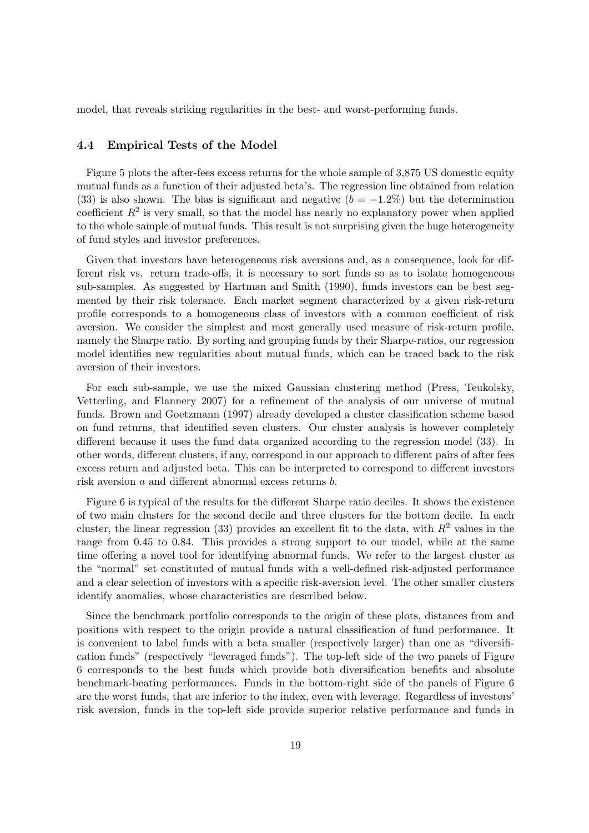model, that reveals striking regularities in the best- and worst-performing funds.

## 4.4 Empirical Tests of the Model

Figure 5 plots the after-fees excess returns for the whole sample of 3,875 US domestic equity mutual funds as a function of their adjusted beta's. The regression line obtained from relation (33) is also shown. The bias is significant and negative  $(b = -1.2\%)$  but the determination coefficient  $R^2$  is very small, so that the model has nearly no explanatory power when applied to the whole sample of mutual funds. This result is not surprising given the huge heterogeneity of fund styles and investor preferences.

Given that investors have heterogeneous risk aversions and, as a consequence, look for different risk vs. return trade-offs, it is necessary to sort funds so as to isolate homogeneous sub-samples. As suggested by Hartman and Smith (1990), funds investors can be best segmented by their risk tolerance. Each market segment characterized by a given risk-return profile corresponds to a homogeneous class of investors with a common coefficient of risk aversion. We consider the simplest and most generally used measure of risk-return profile, namely the Sharpe ratio. By sorting and grouping funds by their Sharpe-ratios, our regression model identifies new regularities about mutual funds, which can be traced back to the risk aversion of their investors.

For each sub-sample, we use the mixed Gaussian clustering method (Press, Teukolsky, Vetterling, and Flannery 2007) for a refinement of the analysis of our universe of mutual funds. Brown and Goetzmann (1997) already developed a cluster classification scheme based on fund returns, that identified seven clusters. Our cluster analysis is however completely different because it uses the fund data organized according to the regression model (33). In other words, different clusters, if any, correspond in our approach to different pairs of after fees excess return and adjusted beta. This can be interpreted to correspond to different investors risk aversion a and different abnormal excess returns b.

Figure 6 is typical of the results for the different Sharpe ratio deciles. It shows the existence of two main clusters for the second decile and three clusters for the bottom decile. In each cluster, the linear regression (33) provides an excellent fit to the data, with  $R^2$  values in the range from 0.45 to 0.84. This provides a strong support to our model, while at the same time offering a novel tool for identifying abnormal funds. We refer to the largest cluster as the "normal" set constituted of mutual funds with a well-defined risk-adjusted performance and a clear selection of investors with a specific risk-aversion level. The other smaller clusters identify anomalies, whose characteristics are described below.

Since the benchmark portfolio corresponds to the origin of these plots, distances from and positions with respect to the origin provide a natural classification of fund performance. It is convenient to label funds with a beta smaller (respectively larger) than one as "diversification funds" (respectively "leveraged funds"). The top-left side of the two panels of Figure 6 corresponds to the best funds which provide both diversification benefits and absolute benchmark-beating performances. Funds in the bottom-right side of the panels of Figure 6 are the worst funds, that are inferior to the index, even with leverage. Regardless of investors' risk aversion, funds in the top-left side provide superior relative performance and funds in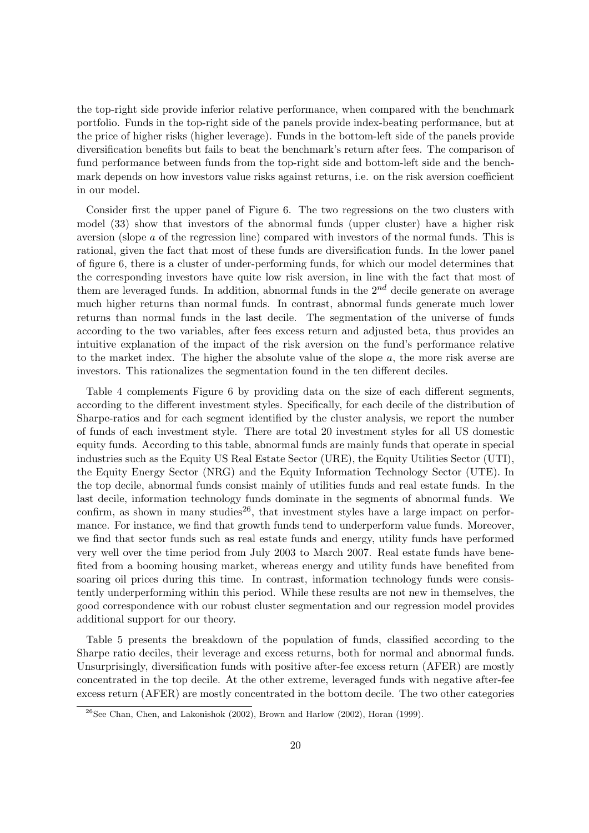the top-right side provide inferior relative performance, when compared with the benchmark portfolio. Funds in the top-right side of the panels provide index-beating performance, but at the price of higher risks (higher leverage). Funds in the bottom-left side of the panels provide diversification benefits but fails to beat the benchmark's return after fees. The comparison of fund performance between funds from the top-right side and bottom-left side and the benchmark depends on how investors value risks against returns, i.e. on the risk aversion coefficient in our model.

Consider first the upper panel of Figure 6. The two regressions on the two clusters with model (33) show that investors of the abnormal funds (upper cluster) have a higher risk aversion (slope a of the regression line) compared with investors of the normal funds. This is rational, given the fact that most of these funds are diversification funds. In the lower panel of figure 6, there is a cluster of under-performing funds, for which our model determines that the corresponding investors have quite low risk aversion, in line with the fact that most of them are leveraged funds. In addition, abnormal funds in the  $2^{nd}$  decile generate on average much higher returns than normal funds. In contrast, abnormal funds generate much lower returns than normal funds in the last decile. The segmentation of the universe of funds according to the two variables, after fees excess return and adjusted beta, thus provides an intuitive explanation of the impact of the risk aversion on the fund's performance relative to the market index. The higher the absolute value of the slope  $a$ , the more risk averse are investors. This rationalizes the segmentation found in the ten different deciles.

Table 4 complements Figure 6 by providing data on the size of each different segments, according to the different investment styles. Specifically, for each decile of the distribution of Sharpe-ratios and for each segment identified by the cluster analysis, we report the number of funds of each investment style. There are total 20 investment styles for all US domestic equity funds. According to this table, abnormal funds are mainly funds that operate in special industries such as the Equity US Real Estate Sector (URE), the Equity Utilities Sector (UTI), the Equity Energy Sector (NRG) and the Equity Information Technology Sector (UTE). In the top decile, abnormal funds consist mainly of utilities funds and real estate funds. In the last decile, information technology funds dominate in the segments of abnormal funds. We confirm, as shown in many studies<sup>26</sup>, that investment styles have a large impact on performance. For instance, we find that growth funds tend to underperform value funds. Moreover, we find that sector funds such as real estate funds and energy, utility funds have performed very well over the time period from July 2003 to March 2007. Real estate funds have benefited from a booming housing market, whereas energy and utility funds have benefited from soaring oil prices during this time. In contrast, information technology funds were consistently underperforming within this period. While these results are not new in themselves, the good correspondence with our robust cluster segmentation and our regression model provides additional support for our theory.

Table 5 presents the breakdown of the population of funds, classified according to the Sharpe ratio deciles, their leverage and excess returns, both for normal and abnormal funds. Unsurprisingly, diversification funds with positive after-fee excess return (AFER) are mostly concentrated in the top decile. At the other extreme, leveraged funds with negative after-fee excess return (AFER) are mostly concentrated in the bottom decile. The two other categories

 $^{26}$ See Chan, Chen, and Lakonishok (2002), Brown and Harlow (2002), Horan (1999).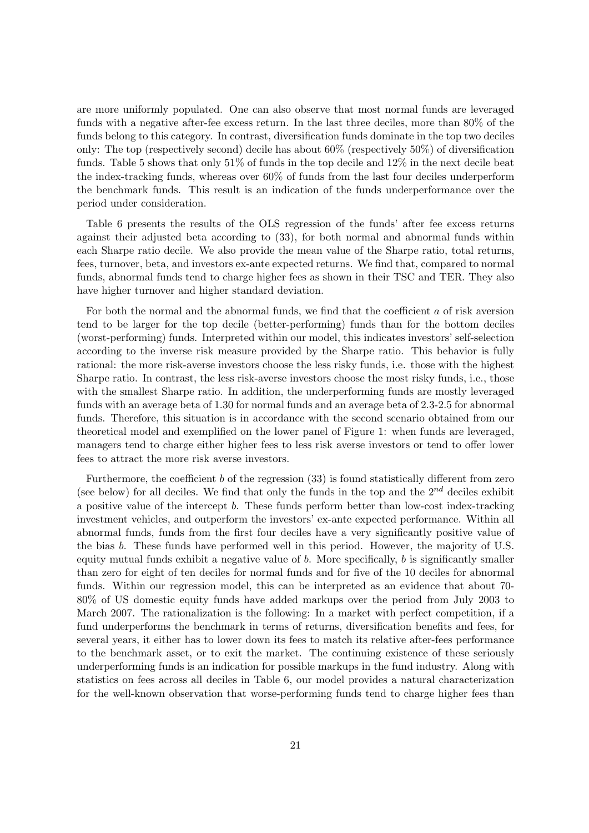are more uniformly populated. One can also observe that most normal funds are leveraged funds with a negative after-fee excess return. In the last three deciles, more than 80% of the funds belong to this category. In contrast, diversification funds dominate in the top two deciles only: The top (respectively second) decile has about 60% (respectively 50%) of diversification funds. Table 5 shows that only 51% of funds in the top decile and 12% in the next decile beat the index-tracking funds, whereas over 60% of funds from the last four deciles underperform the benchmark funds. This result is an indication of the funds underperformance over the period under consideration.

Table 6 presents the results of the OLS regression of the funds' after fee excess returns against their adjusted beta according to (33), for both normal and abnormal funds within each Sharpe ratio decile. We also provide the mean value of the Sharpe ratio, total returns, fees, turnover, beta, and investors ex-ante expected returns. We find that, compared to normal funds, abnormal funds tend to charge higher fees as shown in their TSC and TER. They also have higher turnover and higher standard deviation.

For both the normal and the abnormal funds, we find that the coefficient a of risk aversion tend to be larger for the top decile (better-performing) funds than for the bottom deciles (worst-performing) funds. Interpreted within our model, this indicates investors' self-selection according to the inverse risk measure provided by the Sharpe ratio. This behavior is fully rational: the more risk-averse investors choose the less risky funds, i.e. those with the highest Sharpe ratio. In contrast, the less risk-averse investors choose the most risky funds, i.e., those with the smallest Sharpe ratio. In addition, the underperforming funds are mostly leveraged funds with an average beta of 1.30 for normal funds and an average beta of 2.3-2.5 for abnormal funds. Therefore, this situation is in accordance with the second scenario obtained from our theoretical model and exemplified on the lower panel of Figure 1: when funds are leveraged, managers tend to charge either higher fees to less risk averse investors or tend to offer lower fees to attract the more risk averse investors.

Furthermore, the coefficient  $b$  of the regression  $(33)$  is found statistically different from zero (see below) for all deciles. We find that only the funds in the top and the  $2^{nd}$  deciles exhibit a positive value of the intercept b. These funds perform better than low-cost index-tracking investment vehicles, and outperform the investors' ex-ante expected performance. Within all abnormal funds, funds from the first four deciles have a very significantly positive value of the bias b. These funds have performed well in this period. However, the majority of U.S. equity mutual funds exhibit a negative value of  $b$ . More specifically,  $b$  is significantly smaller than zero for eight of ten deciles for normal funds and for five of the 10 deciles for abnormal funds. Within our regression model, this can be interpreted as an evidence that about 70- 80% of US domestic equity funds have added markups over the period from July 2003 to March 2007. The rationalization is the following: In a market with perfect competition, if a fund underperforms the benchmark in terms of returns, diversification benefits and fees, for several years, it either has to lower down its fees to match its relative after-fees performance to the benchmark asset, or to exit the market. The continuing existence of these seriously underperforming funds is an indication for possible markups in the fund industry. Along with statistics on fees across all deciles in Table 6, our model provides a natural characterization for the well-known observation that worse-performing funds tend to charge higher fees than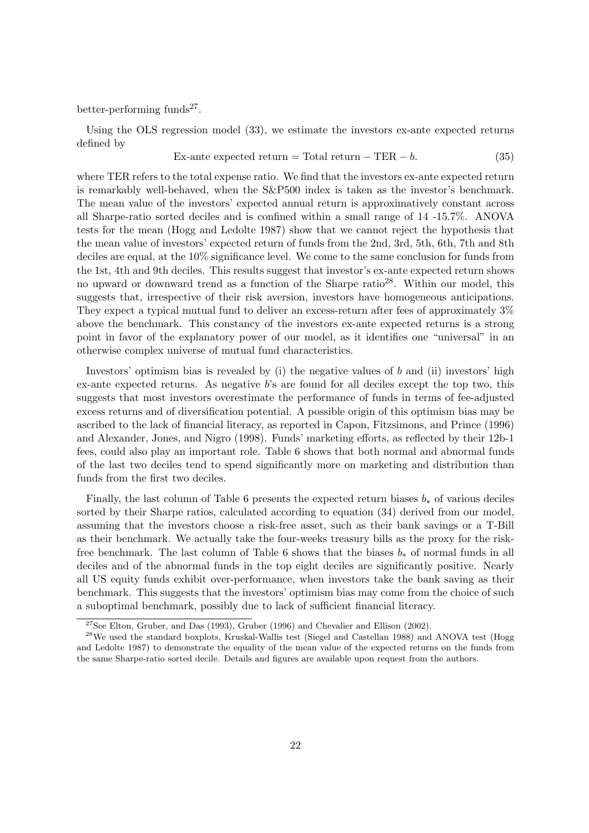better-performing funds<sup>27</sup>.

Using the OLS regression model (33), we estimate the investors ex-ante expected returns defined by

Ex-ante expected return = Total return – TER  $-b$ . (35)

where TER refers to the total expense ratio. We find that the investors ex-ante expected return is remarkably well-behaved, when the S&P500 index is taken as the investor's benchmark. The mean value of the investors' expected annual return is approximatively constant across all Sharpe-ratio sorted deciles and is confined within a small range of 14 -15.7%. ANOVA tests for the mean (Hogg and Ledolte 1987) show that we cannot reject the hypothesis that the mean value of investors' expected return of funds from the 2nd, 3rd, 5th, 6th, 7th and 8th deciles are equal, at the 10% significance level. We come to the same conclusion for funds from the 1st, 4th and 9th deciles. This results suggest that investor's ex-ante expected return shows no upward or downward trend as a function of the Sharpe ratio<sup>28</sup>. Within our model, this suggests that, irrespective of their risk aversion, investors have homogeneous anticipations. They expect a typical mutual fund to deliver an excess-return after fees of approximately 3% above the benchmark. This constancy of the investors ex-ante expected returns is a strong point in favor of the explanatory power of our model, as it identifies one "universal" in an otherwise complex universe of mutual fund characteristics.

Investors' optimism bias is revealed by (i) the negative values of b and (ii) investors' high ex-ante expected returns. As negative b's are found for all deciles except the top two, this suggests that most investors overestimate the performance of funds in terms of fee-adjusted excess returns and of diversification potential. A possible origin of this optimism bias may be ascribed to the lack of financial literacy, as reported in Capon, Fitzsimons, and Prince (1996) and Alexander, Jones, and Nigro (1998). Funds' marketing efforts, as reflected by their 12b-1 fees, could also play an important role. Table 6 shows that both normal and abnormal funds of the last two deciles tend to spend significantly more on marketing and distribution than funds from the first two deciles.

Finally, the last column of Table 6 presents the expected return biases  $b_*$  of various deciles sorted by their Sharpe ratios, calculated according to equation (34) derived from our model, assuming that the investors choose a risk-free asset, such as their bank savings or a T-Bill as their benchmark. We actually take the four-weeks treasury bills as the proxy for the riskfree benchmark. The last column of Table 6 shows that the biases  $b_*$  of normal funds in all deciles and of the abnormal funds in the top eight deciles are significantly positive. Nearly all US equity funds exhibit over-performance, when investors take the bank saving as their benchmark. This suggests that the investors' optimism bias may come from the choice of such a suboptimal benchmark, possibly due to lack of sufficient financial literacy.

 $27$ See Elton, Gruber, and Das (1993), Gruber (1996) and Chevalier and Ellison (2002).

<sup>&</sup>lt;sup>28</sup>We used the standard boxplots, Kruskal-Wallis test (Siegel and Castellan 1988) and ANOVA test (Hogg and Ledolte 1987) to demonstrate the equality of the mean value of the expected returns on the funds from the same Sharpe-ratio sorted decile. Details and figures are available upon request from the authors.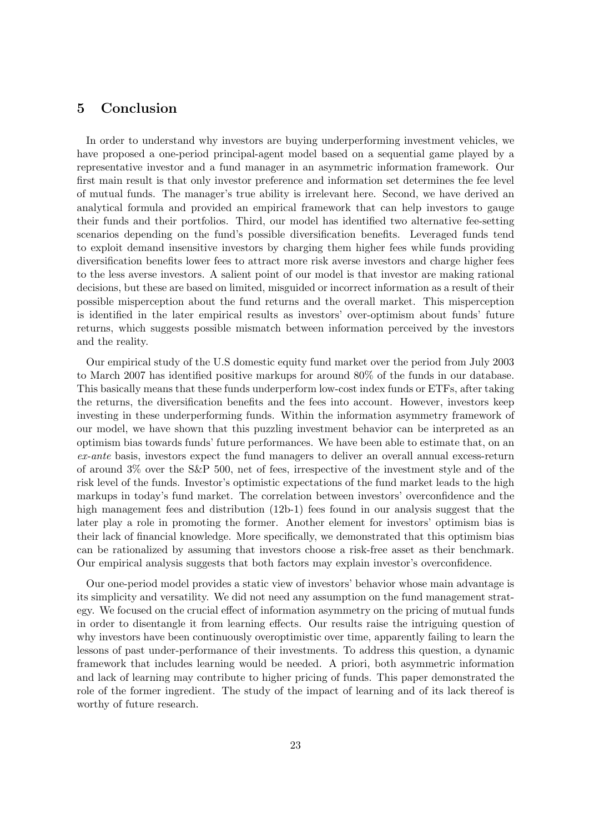## 5 Conclusion

In order to understand why investors are buying underperforming investment vehicles, we have proposed a one-period principal-agent model based on a sequential game played by a representative investor and a fund manager in an asymmetric information framework. Our first main result is that only investor preference and information set determines the fee level of mutual funds. The manager's true ability is irrelevant here. Second, we have derived an analytical formula and provided an empirical framework that can help investors to gauge their funds and their portfolios. Third, our model has identified two alternative fee-setting scenarios depending on the fund's possible diversification benefits. Leveraged funds tend to exploit demand insensitive investors by charging them higher fees while funds providing diversification benefits lower fees to attract more risk averse investors and charge higher fees to the less averse investors. A salient point of our model is that investor are making rational decisions, but these are based on limited, misguided or incorrect information as a result of their possible misperception about the fund returns and the overall market. This misperception is identified in the later empirical results as investors' over-optimism about funds' future returns, which suggests possible mismatch between information perceived by the investors and the reality.

Our empirical study of the U.S domestic equity fund market over the period from July 2003 to March 2007 has identified positive markups for around 80% of the funds in our database. This basically means that these funds underperform low-cost index funds or ETFs, after taking the returns, the diversification benefits and the fees into account. However, investors keep investing in these underperforming funds. Within the information asymmetry framework of our model, we have shown that this puzzling investment behavior can be interpreted as an optimism bias towards funds' future performances. We have been able to estimate that, on an ex-ante basis, investors expect the fund managers to deliver an overall annual excess-return of around 3% over the S&P 500, net of fees, irrespective of the investment style and of the risk level of the funds. Investor's optimistic expectations of the fund market leads to the high markups in today's fund market. The correlation between investors' overconfidence and the high management fees and distribution (12b-1) fees found in our analysis suggest that the later play a role in promoting the former. Another element for investors' optimism bias is their lack of financial knowledge. More specifically, we demonstrated that this optimism bias can be rationalized by assuming that investors choose a risk-free asset as their benchmark. Our empirical analysis suggests that both factors may explain investor's overconfidence.

Our one-period model provides a static view of investors' behavior whose main advantage is its simplicity and versatility. We did not need any assumption on the fund management strategy. We focused on the crucial effect of information asymmetry on the pricing of mutual funds in order to disentangle it from learning effects. Our results raise the intriguing question of why investors have been continuously overoptimistic over time, apparently failing to learn the lessons of past under-performance of their investments. To address this question, a dynamic framework that includes learning would be needed. A priori, both asymmetric information and lack of learning may contribute to higher pricing of funds. This paper demonstrated the role of the former ingredient. The study of the impact of learning and of its lack thereof is worthy of future research.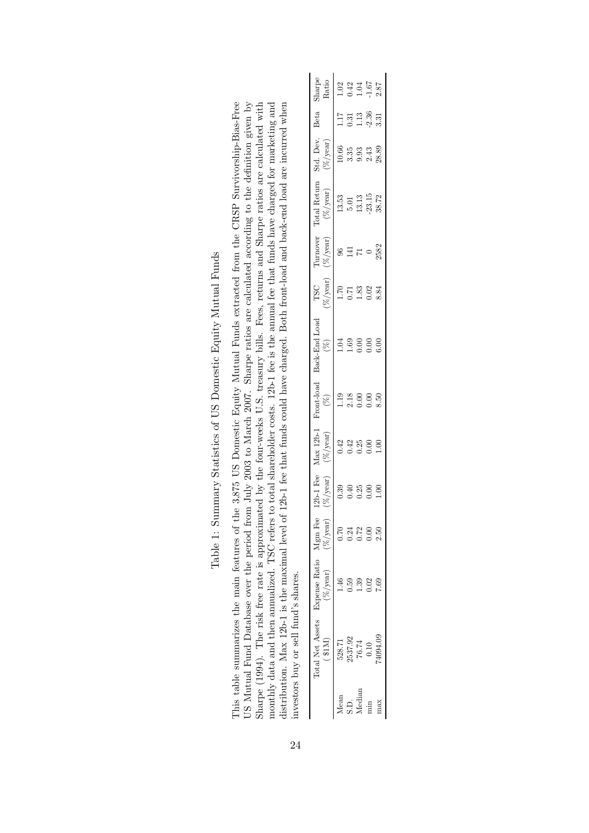|                                                                                                                                                                                                                                                                                      | Sharpe<br>Ratio                                        |        |                  | $1.02$<br>$0.42$<br>$1.04$<br>$1.67$<br>$1.87$ |      |                |
|--------------------------------------------------------------------------------------------------------------------------------------------------------------------------------------------------------------------------------------------------------------------------------------|--------------------------------------------------------|--------|------------------|------------------------------------------------|------|----------------|
|                                                                                                                                                                                                                                                                                      |                                                        | 1.17   |                  | $\frac{0.31}{1.13}$                            | 2.36 | 3.31           |
|                                                                                                                                                                                                                                                                                      | Std. Dev. Beta<br>$(\%/year)$                          | 10.66  |                  | 33<br>333                                      |      | 28.89          |
|                                                                                                                                                                                                                                                                                      | Total Return<br>$(\%/year)$                            | 13.53  |                  | $\frac{5.01}{13.13}$                           |      | 38.72          |
|                                                                                                                                                                                                                                                                                      | Turnover<br>$(\%/year)$                                |        | 巨                |                                                |      | 2582           |
|                                                                                                                                                                                                                                                                                      | $(\%)$ year)<br><b>TSC</b>                             | 1.70   | 0.71             | 1.83                                           | 0.02 | 8.84           |
| aated by the four-weeks U.S. treasury bills. Fees, returns and Sharpe ratios are calculated with<br>to total shareholder costs. 12b-1 fee is the annual fee that funds have charged for marketing and                                                                                | 12b-1 Fee Max 12b-1 Front-load Back-End Load<br>$(\%)$ |        | 0.69             | 0.00                                           | 0.00 | 60.5           |
|                                                                                                                                                                                                                                                                                      | $(\%)$                                                 | 1.19   | $2.18$<br>$0.00$ |                                                | 0.00 | 8.50           |
|                                                                                                                                                                                                                                                                                      | $(\%$ /year)                                           |        |                  | 0.42<br>0.425<br>0.0.0                         |      | 00.1           |
|                                                                                                                                                                                                                                                                                      | $(\%/year)$                                            | 0.39   | 0.40             | 0.25                                           | 0.00 | $\frac{8}{10}$ |
|                                                                                                                                                                                                                                                                                      |                                                        | 0.70   | 0.24             | 0.72                                           | 0.00 | 2.50           |
|                                                                                                                                                                                                                                                                                      | $(\%$ /year) $(\%$ /year)                              |        |                  |                                                |      |                |
| listribution. Max 12b-1 is the maximal level of 12b-1 fee that funds could have charged. Both front-load and back-end load are incurred when<br>monthly data and then annualized. TSC refers<br>Sharpe (1994). The risk free rate is approxim<br>avestors buy or sell fund's shares. | Total Net Assets Expense Ratio Mgm Fee<br>(31M)        | 528.71 | 2537.92          | $76.74\,$                                      | 0.10 | 74094.09       |
|                                                                                                                                                                                                                                                                                      |                                                        | Mean   | S.D.             | Median                                         | min  | max            |

Table 1: Summary Statistics of US Domestic Equity Mutual Funds Table 1: Summary Statistics of US Domestic Equity Mutual Funds This table summarizes the main features of the 3,875 US Domestic Equity Mutual Funds extracted from the CRSP Survivorship-Bias-Free US Mutual Fund Database over the period from July 2003 to March 2007. Sharpe ratios are calculated according to the definition given by

This table summarizes the main features of the 3,875 US Domestic Equity Mutual Funds extracted from the CRSP Survivorship-Bias-Free US Mutual Fund Database over the period from July 2003 to March 2007. Sharpe ratios are calculated according to the definition given by Sharpe (1994). The risk free rate is approximated by the four-weeks U.S. treasury bil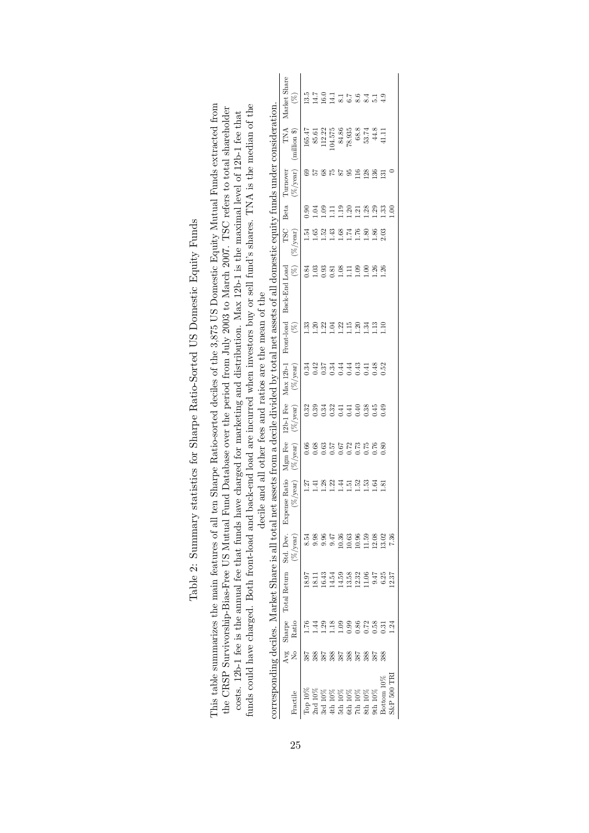| funds could have charged. Both front-load and<br>the CRSP Survivorship-Bias-Free US Mutual<br>This table summarizes the main features of all |          |         |                     |             | decile and all other fees and ratios are the mean of the                                     |               |              |             |                         | corresponding deciles. Market Share is all total net assets from a decile divided by total net assets of all domestic equity funds under consideration.<br>ten Sharpe Ratio-sorted deciles of the 3,875 US Domestic Equity Mutual Funds extracted from<br>back-end load are incurred when investors buy or sell fund's shares. TNA is the median of the<br>Fund Database over the period from July 2003 to March 2007. TSC refers to total shareholder<br>costs. 12b-1 fee is the annual fee that funds have charged for marketing and distribution. Max 12b-1 is the maximal level of 12b-1 fee that |                        |                |                                       |               |                        |
|----------------------------------------------------------------------------------------------------------------------------------------------|----------|---------|---------------------|-------------|----------------------------------------------------------------------------------------------|---------------|--------------|-------------|-------------------------|-------------------------------------------------------------------------------------------------------------------------------------------------------------------------------------------------------------------------------------------------------------------------------------------------------------------------------------------------------------------------------------------------------------------------------------------------------------------------------------------------------------------------------------------------------------------------------------------------------|------------------------|----------------|---------------------------------------|---------------|------------------------|
| Fractile                                                                                                                                     | Avg<br>ż | Ratio   | Sharpe Total Return | $(\%/year)$ | Std. Dev. Expense Ratio Mgm Fee 12b-1 Fee Max 12b-1 Front-load Back-End Load<br>$(\%$ /year) | $(\%/year)$   | $(\%$ /year) | $(\%/year)$ | $\widehat{\mathcal{E}}$ |                                                                                                                                                                                                                                                                                                                                                                                                                                                                                                                                                                                                       | TSC<br>$(\%)$ (%/year) | Beta           | $(\%$ /year) (million \$)<br>Turnover | TNA           | Market Share<br>$(\%)$ |
| $\Gamma$ op $10\%$                                                                                                                           |          | 01.76   |                     | 8.54        | 1.27                                                                                         | 0.66          | 0.32         | 0.34        | ಜೆ                      | 0.84                                                                                                                                                                                                                                                                                                                                                                                                                                                                                                                                                                                                  | 1.54                   | 0.90           | සි                                    | 165.47        | 13.5                   |
| 2 <sub>nd</sub> 10%                                                                                                                          | 388      | 4       | 18.11               | 9.98        | 1.41                                                                                         | 0.68          | 0.39         | 0.42        | $^{1.20}$               | 1.03                                                                                                                                                                                                                                                                                                                                                                                                                                                                                                                                                                                                  | 1.65                   | $-04$          |                                       | 85.61         | 14.7                   |
| 3rd 10%                                                                                                                                      | 387      | .<br>29 | 16.43               | 0.96        | 1.28                                                                                         | 0.63          | 0.34         | 0.37        | 1.22                    | 0.93                                                                                                                                                                                                                                                                                                                                                                                                                                                                                                                                                                                                  | 1.52                   | <b>eo</b> .    |                                       | 112.22        | 16.0                   |
| 4th 10%                                                                                                                                      | 388      | .18     | 14.54               | 9.47        | 1.22                                                                                         | 19.67<br>19.0 | 0.32         | 0.34        | 1.04                    | 0.81                                                                                                                                                                                                                                                                                                                                                                                                                                                                                                                                                                                                  | 1.43                   | Ę              | 5Z                                    | 04.575        | 14.1                   |
| 5th10%                                                                                                                                       | 387      | 0.09    | 14.59               | 10.36       | 1.44                                                                                         |               | 0.41         | 0.44        | 1.22                    | 1.08                                                                                                                                                                                                                                                                                                                                                                                                                                                                                                                                                                                                  | 1.68                   | $\frac{1}{2}$  |                                       | 84.86         |                        |
| $6th10\%$                                                                                                                                    | 388      | 0.99    | 13.58               | 10.63       | 1.51                                                                                         | 0.72          | 0.41         | 0.44        | 1.15                    | Ξ                                                                                                                                                                                                                                                                                                                                                                                                                                                                                                                                                                                                     | 1.74                   | 1.20           | සි                                    | 78.935        |                        |
| $7th 10\%$                                                                                                                                   | 387      | 0.86    | 12.32               | 10.96       | 1.52                                                                                         | 0.73          | 0.40         | 0.43        | 1.20                    | $\overline{6}$                                                                                                                                                                                                                                                                                                                                                                                                                                                                                                                                                                                        | 1.76                   | 1.21           | 16                                    | 68.8          |                        |
| 8th10%                                                                                                                                       | 388      | .72     | 1.06                | 11.59       | 1.53                                                                                         |               | 0.38         | 0.41        | 1.34                    | $\Xi$                                                                                                                                                                                                                                                                                                                                                                                                                                                                                                                                                                                                 | .80                    | 1.28           | 128                                   | 53.74<br>44.8 |                        |
| $9th10\%$                                                                                                                                    | 387      | 0.58    | 47                  | 12.08       | 1.64                                                                                         | 0.76          | 0.45         | 0.48        | 1.13                    | .26                                                                                                                                                                                                                                                                                                                                                                                                                                                                                                                                                                                                   | 86.                    | .29            | 136                                   |               | 51                     |
| Bottom 10%                                                                                                                                   | 388      | 0.31    | 6.25                | 13.02       | 1.81                                                                                         | 0.80          | 0.49         | 0.52        | $\frac{1}{2}$           | $\frac{26}{2}$                                                                                                                                                                                                                                                                                                                                                                                                                                                                                                                                                                                        | 2.03                   | $\frac{33}{2}$ | 131                                   | ПЦ            |                        |
| S&P 500 TRI                                                                                                                                  |          | ži      | 12.37               | 7.36        |                                                                                              |               |              |             |                         |                                                                                                                                                                                                                                                                                                                                                                                                                                                                                                                                                                                                       |                        | e.             |                                       |               |                        |

Table 2: Summary statistics for Sharpe Ratio-Sorted US Domestic Equity Funds Table 2: Summary statistics for Sharpe Ratio-Sorted US Domestic Equity Funds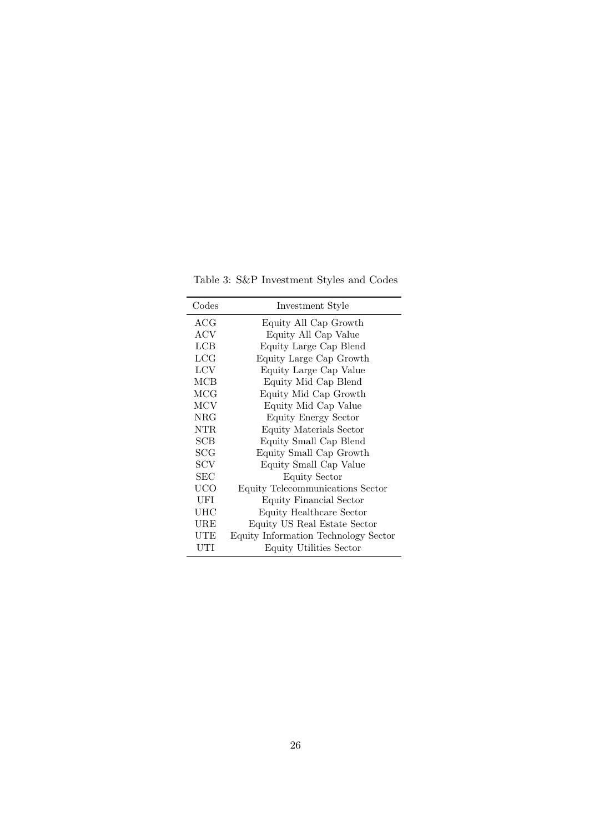Table 3: S&P Investment Styles and Codes

| Codes          | Investment Style                     |
|----------------|--------------------------------------|
| ${ACG}$        | Equity All Cap Growth                |
| ACV            | Equity All Cap Value                 |
| LCB            | Equity Large Cap Blend               |
| LCG            | Equity Large Cap Growth              |
| <b>LCV</b>     | Equity Large Cap Value               |
| MCB            | Equity Mid Cap Blend                 |
| MCG            | Equity Mid Cap Growth                |
| MCV            | Equity Mid Cap Value                 |
| NRG            | Equity Energy Sector                 |
| NTR            | Equity Materials Sector              |
| SCB            | Equity Small Cap Blend               |
| $\mathrm{SCG}$ | Equity Small Cap Growth              |
| SCV            | Equity Small Cap Value               |
| SEC            | <b>Equity Sector</b>                 |
| UCO            | Equity Telecommunications Sector     |
| UFI            | Equity Financial Sector              |
| UHC            | Equity Healthcare Sector             |
| $_{\rm URE}$   | Equity US Real Estate Sector         |
| UTE            | Equity Information Technology Sector |
| UTI            | Equity Utilities Sector              |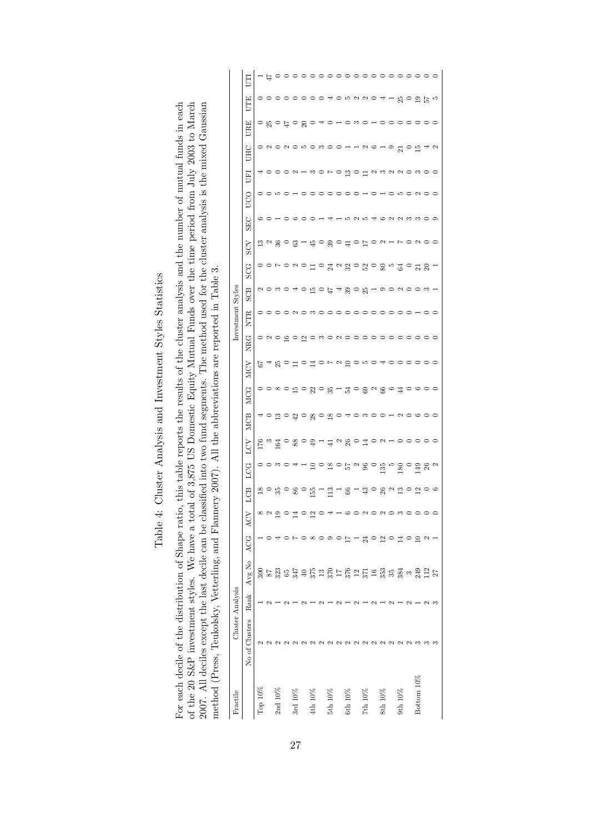| j                                                                                        |
|------------------------------------------------------------------------------------------|
| í<br>l<br>ı<br>I                                                                         |
| ۱<br>$\frac{1}{2}$<br>١<br>Í<br>I<br>$\frac{1}{2}$<br>I                                  |
| くうく<br>:                                                                                 |
| l<br>$\frac{1}{1}$<br>ś<br>I                                                             |
| ı<br>i                                                                                   |
| l<br>֚<br>Í<br>١<br>l<br>֖֖֖֖֖֖ׅ֪ׅ֖֧֪ׅ֖֖֖֧֚֚֚֚֚֚֚֚֚֚֚֚֚֚֚֚֚֚֚֚֚֚֚֚֚֚֚֚֚֚֚֚֚֡֝֝֓֝֓֞֝֬֓֞֝֬ |

For each decile of the distribution of Shape ratio, this table reports the results of the cluster analysis and the number of mutual funds in each of the 20 S&P investment styles. We have a total of 3,875 US Domestic Equity 2007. All deciles except the last decile can be classified into two fund segments. The method used for the cluster analysis is the mixed Gaussian For each decile of the distribution of Shape ratio, this table reports the results of the cluster analysis and the number of mutual funds in each of the 20 S&P investment styles. We have a total of 3,875 US Domestic Equity Mutual Funds over the time period from July 2003 to March 2007. All deciles except the last decile can be classified into two fund segments. The method used for the cluster analysis is the mixed Gaussian method (Press, Teukolsky, Vetterling, and Flannery 2007). All the abbreviations are reported in Table 3. method (Press, Teukolsky, Vetterling, and Flannery 2007). All the abbreviations are reported in Table 3.

| Fractile              |                                                                                      | Cluster Analysis |        |            |                                                                 |                                                                                                                                                                                                                                                                                                                                                                                                                                                                                                                                                                         |                                           |                                                                                  |            |            |                        |                                      | Investment Styles |                       |     |                                                              |                                         |     |                                          |                                                 |                                                            |                         |                          |
|-----------------------|--------------------------------------------------------------------------------------|------------------|--------|------------|-----------------------------------------------------------------|-------------------------------------------------------------------------------------------------------------------------------------------------------------------------------------------------------------------------------------------------------------------------------------------------------------------------------------------------------------------------------------------------------------------------------------------------------------------------------------------------------------------------------------------------------------------------|-------------------------------------------|----------------------------------------------------------------------------------|------------|------------|------------------------|--------------------------------------|-------------------|-----------------------|-----|--------------------------------------------------------------|-----------------------------------------|-----|------------------------------------------|-------------------------------------------------|------------------------------------------------------------|-------------------------|--------------------------|
|                       | No of Clusters                                                                       | Rank             | Avg No | ACG        | ACV                                                             | LCB                                                                                                                                                                                                                                                                                                                                                                                                                                                                                                                                                                     | LCG                                       | ГQ                                                                               | <b>MCB</b> | <b>MCG</b> | MCV                    | NRG                                  | <b>NTR</b>        | SCB                   | SCG | ΧOS                                                          | <b>SEC</b>                              | UCO | <b>EED</b>                               | UHC                                             | URE                                                        | UTE                     | Ę                        |
| $Top 10\%$            | 2                                                                                    |                  |        |            |                                                                 | $^{18}$                                                                                                                                                                                                                                                                                                                                                                                                                                                                                                                                                                 |                                           |                                                                                  |            |            |                        |                                      |                   |                       |     |                                                              |                                         |     |                                          |                                                 |                                                            |                         |                          |
|                       |                                                                                      |                  |        |            | $\frac{2}{19}$                                                  |                                                                                                                                                                                                                                                                                                                                                                                                                                                                                                                                                                         |                                           |                                                                                  |            |            |                        |                                      |                   |                       |     |                                                              |                                         |     |                                          |                                                 |                                                            |                         |                          |
| 2nd 10%               |                                                                                      |                  |        |            |                                                                 | $\circ$ $\frac{6}{3}$ $\circ$ $\frac{6}{3}$                                                                                                                                                                                                                                                                                                                                                                                                                                                                                                                             |                                           | ទ្រូង ខេន្ល ១ <del>ខ</del> ្លូង ដូច ខ្លូង មាន<br>ក្នុង ខេន្ត ខេត្ត ដូច ខ្លូង មាន |            |            | cacoooo aa chachachood | o do go do mo do o o o o o o o o o o |                   | 20304050年480519020081 |     | $\mathbb{C} \cap \mathbb{S} \cap \mathbb{C} \cap \mathbb{C}$ | $\circ$ $\circ$ $\circ$ $\circ$ $\circ$ |     | 4000 x - m 0 r 0 m 0 m 4 m x x x 0 m 0 0 | o < o < o = o = o = o + + < o + o + o + o + + < | $\circ$ $\kappa$ $\circ$ $\kappa$ $\circ$ $\kappa$ $\circ$ | 000000004               | - 1200000000000000000000 |
|                       |                                                                                      |                  |        |            |                                                                 |                                                                                                                                                                                                                                                                                                                                                                                                                                                                                                                                                                         |                                           |                                                                                  |            |            |                        |                                      |                   |                       |     |                                                              |                                         |     |                                          |                                                 |                                                            |                         |                          |
| $3rd 10\%$            |                                                                                      |                  |        |            | $0\frac{1}{4}$                                                  |                                                                                                                                                                                                                                                                                                                                                                                                                                                                                                                                                                         |                                           |                                                                                  |            |            |                        |                                      |                   |                       |     |                                                              |                                         |     |                                          |                                                 |                                                            |                         |                          |
|                       |                                                                                      |                  |        |            |                                                                 |                                                                                                                                                                                                                                                                                                                                                                                                                                                                                                                                                                         |                                           |                                                                                  |            |            |                        |                                      |                   |                       |     |                                                              |                                         |     |                                          |                                                 |                                                            |                         |                          |
| $\th 10\%$            |                                                                                      |                  |        |            | $\overline{2}$                                                  | 155                                                                                                                                                                                                                                                                                                                                                                                                                                                                                                                                                                     |                                           |                                                                                  |            |            |                        |                                      |                   |                       |     |                                                              | $\circ$                                 |     |                                          |                                                 |                                                            |                         |                          |
|                       |                                                                                      |                  |        |            |                                                                 |                                                                                                                                                                                                                                                                                                                                                                                                                                                                                                                                                                         |                                           |                                                                                  |            |            |                        |                                      |                   |                       |     |                                                              |                                         |     |                                          |                                                 |                                                            |                         |                          |
| $5th10\%$             | $\sim$                                                                               |                  |        | $\circ$    |                                                                 | $\Xi$                                                                                                                                                                                                                                                                                                                                                                                                                                                                                                                                                                   |                                           |                                                                                  |            |            |                        |                                      |                   |                       |     |                                                              | $\overline{\phantom{a}}$                |     |                                          |                                                 |                                                            |                         |                          |
|                       | $\sim$                                                                               |                  |        | $\circ$    |                                                                 |                                                                                                                                                                                                                                                                                                                                                                                                                                                                                                                                                                         |                                           |                                                                                  |            |            |                        |                                      |                   |                       |     |                                                              | Г.                                      |     |                                          |                                                 |                                                            |                         |                          |
| $6th 10\%$            | $\sim$                                                                               |                  |        |            | $\circ$                                                         | $66\,$                                                                                                                                                                                                                                                                                                                                                                                                                                                                                                                                                                  |                                           |                                                                                  |            |            |                        |                                      |                   |                       |     |                                                              |                                         |     |                                          |                                                 |                                                            |                         |                          |
|                       | $\mathbf{\Omega}$                                                                    | $\mathbf{\sim}$  |        |            |                                                                 |                                                                                                                                                                                                                                                                                                                                                                                                                                                                                                                                                                         |                                           |                                                                                  |            |            |                        |                                      |                   |                       |     |                                                              |                                         |     |                                          |                                                 |                                                            |                         |                          |
| $7th\ 10\%$           | $\begin{array}{c} \mathcal{O} & \mathcal{O} & \mathcal{O} & \mathcal{O} \end{array}$ |                  |        | 1112102102 | $\circ$ $\circ$ $\circ$ $\circ$ $\circ$ $\circ$ $\circ$ $\circ$ |                                                                                                                                                                                                                                                                                                                                                                                                                                                                                                                                                                         |                                           |                                                                                  |            |            |                        |                                      |                   |                       |     | o 80 d o d o d o d o co                                      | + 525 46223309                          |     |                                          |                                                 | 40 H O W O H O O O O O O O                                 | o n o n o d d d d p p n |                          |
|                       |                                                                                      |                  |        |            |                                                                 |                                                                                                                                                                                                                                                                                                                                                                                                                                                                                                                                                                         |                                           |                                                                                  |            |            |                        |                                      |                   |                       |     |                                                              |                                         |     |                                          |                                                 |                                                            |                         |                          |
| $8th 10\%$            |                                                                                      |                  |        |            |                                                                 |                                                                                                                                                                                                                                                                                                                                                                                                                                                                                                                                                                         |                                           |                                                                                  |            |            |                        |                                      |                   |                       |     |                                                              |                                         |     |                                          |                                                 |                                                            |                         |                          |
|                       |                                                                                      |                  |        |            |                                                                 |                                                                                                                                                                                                                                                                                                                                                                                                                                                                                                                                                                         |                                           |                                                                                  |            |            |                        |                                      |                   |                       |     |                                                              |                                         |     |                                          |                                                 |                                                            |                         |                          |
| $9\mathrm{th}$ $10\%$ | $\sim$                                                                               |                  |        |            |                                                                 | $\begin{array}{c} \alpha_1 \circ \alpha_2 \circ \alpha_3 \circ \alpha_4 \circ \alpha_5 \circ \alpha_6 \circ \alpha_7 \circ \alpha_8 \circ \alpha_9 \circ \alpha_1 \circ \alpha_1 \circ \alpha_2 \circ \alpha_1 \circ \alpha_2 \circ \alpha_4 \circ \alpha_4 \circ \alpha_5 \circ \alpha_6 \circ \alpha_1 \circ \alpha_2 \circ \alpha_4 \circ \alpha_5 \circ \alpha_6 \circ \alpha_7 \circ \alpha_1 \circ \alpha_2 \circ \alpha_4 \circ \alpha_5 \circ \alpha_6 \circ \alpha_7 \circ \alpha_7 \circ \alpha_8 \circ \alpha_7 \circ \alpha_8 \circ \alpha_7 \circ \alpha_$ | $180\,$                                   | $\circ$ $\circ$                                                                  |            |            |                        |                                      |                   |                       |     |                                                              |                                         |     |                                          |                                                 |                                                            |                         |                          |
|                       | $\sim$                                                                               |                  |        |            |                                                                 |                                                                                                                                                                                                                                                                                                                                                                                                                                                                                                                                                                         | $\circ$                                   |                                                                                  |            |            |                        |                                      |                   |                       |     |                                                              |                                         |     |                                          |                                                 |                                                            |                         |                          |
| Bottom 10%            |                                                                                      |                  |        |            |                                                                 |                                                                                                                                                                                                                                                                                                                                                                                                                                                                                                                                                                         |                                           | $\circ$ $\circ$                                                                  |            |            |                        |                                      |                   |                       |     |                                                              |                                         |     |                                          |                                                 |                                                            |                         |                          |
|                       |                                                                                      | $\sim$           |        |            |                                                                 |                                                                                                                                                                                                                                                                                                                                                                                                                                                                                                                                                                         | $\frac{5}{2}$ $\frac{8}{2}$ $\frac{1}{2}$ |                                                                                  |            |            |                        |                                      |                   |                       |     |                                                              |                                         |     |                                          |                                                 |                                                            |                         |                          |
|                       |                                                                                      | ొ                |        |            |                                                                 |                                                                                                                                                                                                                                                                                                                                                                                                                                                                                                                                                                         |                                           |                                                                                  |            |            |                        |                                      |                   |                       |     |                                                              |                                         |     |                                          |                                                 |                                                            |                         |                          |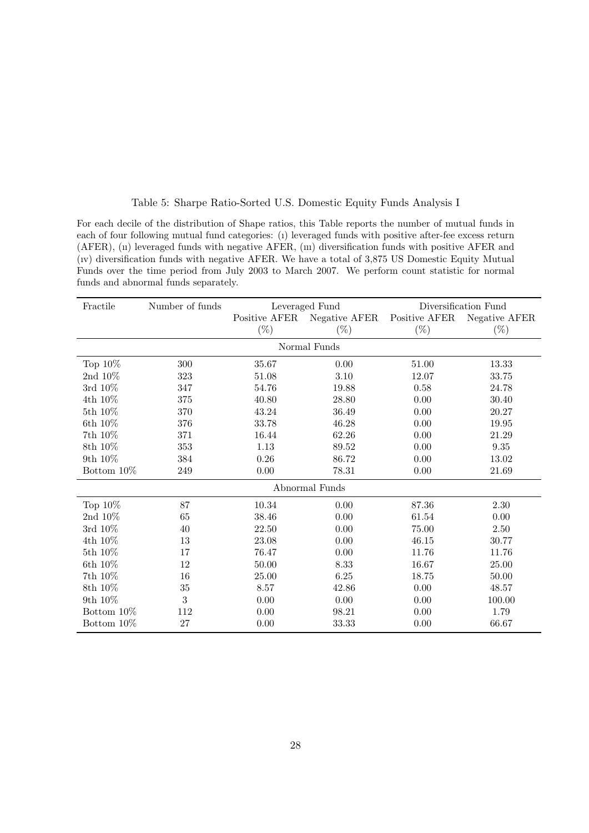## Table 5: Sharpe Ratio-Sorted U.S. Domestic Equity Funds Analysis I

For each decile of the distribution of Shape ratios, this Table reports the number of mutual funds in each of four following mutual fund categories: (ı) leveraged funds with positive after-fee excess return (AFER), (ıı) leveraged funds with negative AFER, (ııı) diversification funds with positive AFER and (ıv) diversification funds with negative AFER. We have a total of 3,875 US Domestic Equity Mutual Funds over the time period from July 2003 to March 2007. We perform count statistic for normal funds and abnormal funds separately.

| Fractile       | Number of funds |               | Leveraged Fund |               | Diversification Fund |  |  |  |  |  |  |  |
|----------------|-----------------|---------------|----------------|---------------|----------------------|--|--|--|--|--|--|--|
|                |                 | Positive AFER | Negative AFER  | Positive AFER | Negative AFER        |  |  |  |  |  |  |  |
|                |                 | $(\%)$        | $(\%)$         | $(\%)$        | $(\%)$               |  |  |  |  |  |  |  |
|                |                 |               | Normal Funds   |               |                      |  |  |  |  |  |  |  |
| Top $10\%$     | 300             | 35.67         | 0.00           | 51.00         | 13.33                |  |  |  |  |  |  |  |
| 2nd $10\%$     | $323\,$         | 51.08         | 3.10           | 12.07         | 33.75                |  |  |  |  |  |  |  |
| 3rd 10%        | 347             | 54.76         | 19.88          | 0.58          | 24.78                |  |  |  |  |  |  |  |
| 4th 10%        | 375             | 40.80         | 28.80          | 0.00          | 30.40                |  |  |  |  |  |  |  |
| 5th 10%        | 370             | 43.24         | 36.49          | 0.00          | 20.27                |  |  |  |  |  |  |  |
| 6th 10%        | 376             | 33.78         | 46.28          | 0.00          | 19.95                |  |  |  |  |  |  |  |
| 7th 10%        | 371             | 16.44         | 62.26          | 0.00          | 21.29                |  |  |  |  |  |  |  |
| 8th 10%        | 353             | $1.13\,$      | 89.52          | 0.00          | 9.35                 |  |  |  |  |  |  |  |
| 9th 10%        | 384             | $0.26\,$      | 86.72          | 0.00          | 13.02                |  |  |  |  |  |  |  |
| Bottom 10\%    | 249             | $0.00\,$      | 78.31          | 0.00          | 21.69                |  |  |  |  |  |  |  |
| Abnormal Funds |                 |               |                |               |                      |  |  |  |  |  |  |  |
| Top $10\%$     | 87              | 10.34         | 0.00           | 87.36         | 2.30                 |  |  |  |  |  |  |  |
| 2nd $10\%$     | 65              | 38.46         | 0.00           | 61.54         | 0.00                 |  |  |  |  |  |  |  |
| 3rd 10%        | 40              | 22.50         | 0.00           | 75.00         | 2.50                 |  |  |  |  |  |  |  |
| 4th 10%        | 13              | 23.08         | 0.00           | 46.15         | 30.77                |  |  |  |  |  |  |  |
| 5th 10%        | 17              | 76.47         | 0.00           | 11.76         | 11.76                |  |  |  |  |  |  |  |
| 6th 10%        | 12              | 50.00         | 8.33           | 16.67         | 25.00                |  |  |  |  |  |  |  |
| 7th 10%        | 16              | 25.00         | 6.25           | 18.75         | 50.00                |  |  |  |  |  |  |  |
| 8th 10%        | 35              | 8.57          | 42.86          | 0.00          | 48.57                |  |  |  |  |  |  |  |
| 9th 10%        | $\sqrt{3}$      | 0.00          | 0.00           | 0.00          | 100.00               |  |  |  |  |  |  |  |
| Bottom $10\%$  | 112             | 0.00          | 98.21          | 0.00          | 1.79                 |  |  |  |  |  |  |  |
| Bottom 10%     | 27              | 0.00          | 33.33          | 0.00          | 66.67                |  |  |  |  |  |  |  |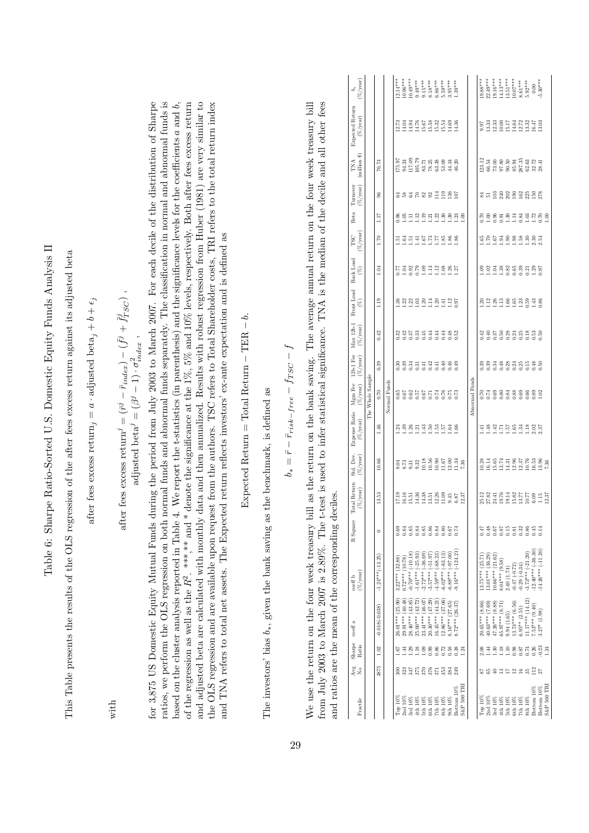| ľ<br>$\frac{1}{2}$                           |                                               |
|----------------------------------------------|-----------------------------------------------|
| <b>Contract</b>                              |                                               |
| うりょう<br>ļ<br>;                               |                                               |
| j<br><b>Contract of the contract</b><br>ŗ    | ï                                             |
|                                              |                                               |
| م<br>م<br>.<br>.<br>$\overline{\phantom{a}}$ |                                               |
|                                              | .<br>م<br>م                                   |
| $\mathfrak{c}$                               |                                               |
| ĺ<br>l<br>i                                  |                                               |
|                                              | Ì<br>$\frac{1}{3}$                            |
| i                                            | 5<br>4                                        |
|                                              |                                               |
|                                              |                                               |
|                                              |                                               |
|                                              | $\ddot{\phantom{0}}$<br>i<br>)<br> <br> <br>i |

after fees excess return, =  $a \cdot$  adjusted beta, +  $b + \epsilon_j$ after fees excess return,  $= a \cdot \text{adjusted beta}_j + b + \epsilon_j$ 

with

after fees excess return
$$
^j=(\bar{r}^j-\bar{r}_{index})-(\bar{f}^j+\bar{f}^j_{TSC})
$$
 , adjusted beta $^j=(\beta^j-1)\cdot\sigma^2_{index}$  ,

for 3,875 US Domestic Equity Mutual Funds during the period from July 2003 to March 2007. For each decile of the distribution of Sharpe ratios, we perform the OLS regression on both normal funds and abnormal funds separately. The classification in normal and abnormal funds is based on the cluster analysis reported in Table 4. We report the t-statistics (in parenthesis) and the significance levels for the coefficients  $a$  and  $b$ , of the regression as well as the  $R^2$ . \*\*\*,\*\* and \* denote the significance at the 1%, 5% and 10% levels, respectively. Both after fees excess return and adjusted beta are calculated with monthly data and then annualized. Results with robust regression from Huber (1981) are very similar to ratios, we perform the OLS regression on both normal funds and abnormal funds separately. The classification in normal and abnormal funds is the OLS regression and are available upon request from the authors. TSC refers to Total Shareholder costs, TRI refers to the total return index for 3,875 US Domestic Equity Mutual Funds during the period from July 2003 to March 2007. For each decile of the distribution of Sharpe based on the cluster analysis reported in Table 4. We report the t-statistics (in parenthesis) and the significance levels for the coefficients a and b, of the regression as well as the  $R^2$ . \*\*\*, \*\* and \* denote the significance at the 1%, 5% and 10% levels, respectively. Both after fees excess return and adjusted beta are calculated with monthly data and then annualized. Results with robust regression from Huber (1981) are very similar to the OLS regression and are available upon request from the authors. TSC refers to Total Shareholder costs, TRI refers to the total return index and TNA refers to total net assets. The Expected return reflects investors' ex-ante expectation and is defined as and TNA refers to total net assets. The Expected return reflects investors' ex-ante expectation and is defined as

Expected Return = Total Return - TER – 
$$
b
$$
.

The investors' bias  $b_*,$  given the bank saving as the benchmark, is defined as The investors' bias b∗, given the bank saving as the benchmark, is defined as

$$
b_* = \bar{r} - \bar{r}_{risk-free} - f_{TSC} - f
$$

from July 2003 to March 2007 is 2.89%. The t-test is used to infer statistical significance. TNA is the median of the decile and all other fees We use the return on the four week treasury bill as the return on the bank saving. The average annual return on the four week treasury bill We use the return on the four week treasury bill as the return on the bank saving. The average annual return on the four week treasury bill from July 2003 to March 2007 is 2.89%. The t-test is used to infer statistical significance. TNA is the median of the decile and all other fees and ratios are the mean of the corresponding deciles. and ratios are the mean of the corresponding deciles.

| $(\%)$ year)<br>5                    |                  |                    |              | $2.14***$         | $10.96***$         | $10.49***$                                                                                                                                                                                                                                                                              |                       | $0.49***$<br>$0.15***$ |                      | $8.18***$<br>$6.86***$                    | $5.59***$               | $3.95***$          | $1.39***$            |                |                | $19.88***$        | $22.49***$        | $19.16***$         | $(4.13***$                 | 13.51***<br>10.07***                                                          |                   | $8.61***$       | $5.92***$            | 0.00                   | $5.30***$            |                        |
|--------------------------------------|------------------|--------------------|--------------|-------------------|--------------------|-----------------------------------------------------------------------------------------------------------------------------------------------------------------------------------------------------------------------------------------------------------------------------------------|-----------------------|------------------------|----------------------|-------------------------------------------|-------------------------|--------------------|----------------------|----------------|----------------|-------------------|-------------------|--------------------|----------------------------|-------------------------------------------------------------------------------|-------------------|-----------------|----------------------|------------------------|----------------------|------------------------|
| Expected Return<br>$(\%$ /year       |                  |                    |              | 12.73             | 14.04              | 11767<br>11567<br>115532<br>1551                                                                                                                                                                                                                                                        |                       |                        |                      |                                           |                         | 14.69              | 14.36                |                |                | 9.97              | 13.33             | 12.33              |                            | 10.00<br>15.172<br>14.512.32<br>11.11.3.32                                    |                   |                 |                      |                        | 13.03                |                        |
| $(\text{million 8})$<br>TNA          |                  | 76.74              |              | 175.97            | 94.24              | 117.09<br>105.79                                                                                                                                                                                                                                                                        |                       | $83.71\,$              |                      | $78.25$<br>$63.38$                        | 53.09                   | 44.34              | 46.20                |                |                | 123.12            |                   |                    |                            | ដ ខ ន ន ដ ង<br>ម ជ ន ន ន ង<br>ម ជ ន ន ន ន                                     |                   |                 | 8<br>8 2 4<br>8 3 3  |                        |                      |                        |
| $(\%/year)$<br>Turnover              |                  | 8                  |              |                   |                    | こうこうこう                                                                                                                                                                                                                                                                                  |                       |                        |                      |                                           | 11.85                   |                    |                      |                |                |                   |                   |                    |                            | ង ដ <u>មី ឱ្</u> នី ឱ្យ ខ្ញុំ ឱ្យ ខ្ញុំ                                       |                   |                 |                      |                        |                      |                        |
| Beta                                 |                  | ПI                 |              | $^{0.96}$         | 1.05               | $\frac{11}{112}$                                                                                                                                                                                                                                                                        |                       |                        |                      | $\frac{1}{2}$ $\frac{3}{2}$ $\frac{3}{2}$ |                         | 1.30               | $\frac{1.23}{1.00}$  |                |                | 0.70              | 1.00              | 0.96               | 0.91                       | 1.30                                                                          | 1.14              | 0.84            | 1.03                 | 1.72                   | 0.70                 | 00.1                   |
| '%/year<br>TSC                       |                  | 1.70               |              | ē                 | $\mathbb{E}$       | $\frac{1}{1}$ $\frac{1}{4}$ $\frac{1}{6}$ $\frac{1}{1}$ $\frac{1}{1}$ $\frac{1}{1}$ $\frac{1}{1}$ $\frac{1}{1}$ $\frac{1}{1}$ $\frac{1}{1}$ $\frac{1}{1}$ $\frac{1}{1}$ $\frac{1}{1}$ $\frac{1}{1}$ $\frac{1}{1}$ $\frac{1}{1}$ $\frac{1}{1}$ $\frac{1}{1}$ $\frac{1}{1}$ $\frac{1}{1}$ |                       |                        |                      |                                           |                         |                    |                      |                |                | ë                 | 1.67              |                    |                            | $\begin{array}{cccc}\n 3 & 3 & 3 & 3 & 3 \\  1 & 1 & 1 & 1 & 1\n \end{array}$ |                   |                 |                      | $2.30$<br>$2.54$       |                      |                        |
| Back Load<br>$\widehat{\mathscr{E}}$ |                  | 1.04               |              | 77                | 1.04               | 8889992885                                                                                                                                                                                                                                                                              |                       |                        |                      |                                           |                         |                    |                      |                |                | දි                | 1.02              |                    |                            | 38888338                                                                      |                   |                 |                      |                        |                      |                        |
| Front Load<br>E)                     |                  | $\frac{1}{2}$      |              | $^{136}$          |                    | $\begin{array}{cccc}\n 21 & 21 & 23 & 24 & 24 & 25 \\  11 & 21 & 21 & 21 & 21 & 25 \\  12 & 21 & 21 & 21 & 21 & 25\n \end{array}$                                                                                                                                                       |                       |                        |                      |                                           |                         |                    |                      |                |                | 1.20              |                   |                    |                            | 1189968888888                                                                 |                   |                 |                      |                        |                      |                        |
| $Max 12b-1$<br>$(\%$ /year)          |                  | 0.42               |              | 0.32              |                    | 253373733                                                                                                                                                                                                                                                                               |                       |                        |                      |                                           |                         |                    |                      |                |                | 0.42              |                   |                    |                            | 958339388                                                                     |                   |                 |                      |                        |                      |                        |
| $12b-1$ Fee<br>$(\%$ /year)          |                  | 0.39               |              | 0.30              | 0.39               | 0.34                                                                                                                                                                                                                                                                                    |                       |                        |                      | 포알포운<br>이 이 이 이                           |                         | $0.46$<br>0.49     |                      |                |                | 0.39              | 0.39              | 0.34               |                            | 3335933                                                                       |                   |                 |                      |                        |                      |                        |
| Mgm Fee<br>$(\%/year)$               | The Whole Sample | 0.70               | Normal Funds | 0.65              | 0.67               | 의원왕품 검정 전용<br>이 이 이 이 이 있                                                                                                                                                                                                                                                               |                       |                        |                      |                                           |                         |                    |                      |                | Abnormal Funds | 0.70              |                   |                    |                            | <u> 준영 중</u><br>전 영 정 영 영 영 영 영 영                                             |                   |                 |                      |                        |                      |                        |
| Expense Ratio<br>$(\%$ /year)        |                  | 1.46               |              | $\frac{24}{2}$    |                    | $2887$ $1298$ $1298$ $1298$                                                                                                                                                                                                                                                             |                       |                        |                      |                                           |                         |                    |                      |                |                | 1.41              |                   |                    |                            | $4411444288$                                                                  |                   |                 |                      |                        |                      |                        |
| Std. Dev.<br>$(\%$ /year)            |                  | 10.66              |              |                   |                    | 3<br>8 2 3 3 3 3 6 5 6<br>8 3 3 5 5 5 6 7                                                                                                                                                                                                                                               |                       |                        |                      |                                           |                         | 12.00              | 11.34                | 7.36           |                | 10.28             | 16.14<br>15.65    |                    |                            | $7.585$<br>$1.121$<br>$1.121$                                                 |                   |                 | 10.76                | 16.53                  | $13.96$<br>$7.36$    |                        |
| Total Return<br>$(\%$ /year)         |                  | 13.53              |              | <b>L7.19</b>      | 16.16              | 15.51                                                                                                                                                                                                                                                                                   | 14.36                 | 14.38                  | 13.51                | 12.26                                     | 11.09                   | 9.45               | 6.87                 | 12.37          |                |                   |                   |                    | 25.12<br>27.82<br>27.31.76 | $\begin{array}{c} 13.8 \\ 15.87 \\ 13.77 \\ 10.17 \end{array}$                |                   |                 |                      | 6.09                   | $\frac{1.15}{12.37}$ |                        |
| R Square                             |                  | $\circ$            |              | 0.69              | 0.84               | $0.85$<br>$0.84$<br>$0.85$                                                                                                                                                                                                                                                              |                       |                        |                      |                                           |                         |                    |                      |                |                | 71.0              |                   |                    |                            | 25523889                                                                      |                   |                 |                      |                        | 0.14                 |                        |
| $(\% / \text{year})$<br>coeff b      |                  | $-1.24***(-13.25)$ |              | $3.22***$ (32.88) | $0.72***$ (10.78)  | $0.70***(-10.18$                                                                                                                                                                                                                                                                        | $-1.61***$ $(-25.93)$ | $-2.72***$ $(-36.69)$  | $-3.57***$ $(-51.97$ | $-4.59***(-68.23)$                        | $(-83.13)$<br>$6.02***$ | $-6.88***(-97.00)$ | $-9.16*** (-124.21)$ |                |                | $13.75***$ (25.71 | $13.01***$ (36.29 | $10.66***$ (21.62) | $8.04***$ (9.58)           | 2.40(1.74)                                                                    | $-0.47(-0.72)$    | $-0.29(-0.34)$  | $-3.73***(-21.20)$   | $-12.40***$ $(-36.30)$ | $14.26***(-11.20)$   |                        |
| coeff a                              |                  | $-0.018(-0.038)$   |              | 26.01*** (25.90   | $29.91***$ (40.48) | $28.40***$ (43.85)                                                                                                                                                                                                                                                                      | $25.00***$ (43.72)    | 23.41*** (46.07)       | $20.30***$ (47.29)   | $16.45***$ (44.21)                        | $12.86***$ (37.06)      | $-8.16***$ (27.65) | (26.37)<br>$8.72***$ |                |                | $20.65***$ (8.66  | $40.63***$ (7.69) | $47.26***$ (8.88)  | 65.97*** (8.71)            | 9.94(1.65)                                                                    | $13.74***$ (6.56) | $6.95** (2.55)$ | $11.17***$ $(14.12)$ | $7.53***$ (9.40)       | $3.27*$ $(1.98)$     |                        |
| Sharpe<br>Ratio                      |                  | 1.02               |              | <u>is</u>         | 1.44               | 1.29                                                                                                                                                                                                                                                                                    | 1.18                  | 0.109                  | 0.99                 | 0.86                                      | 0.72                    | 0.58               | 0.38                 | $\frac{24}{2}$ |                |                   | 1.44              | $\frac{30}{2}$     | 1.18                       | 1.10                                                                          | 0.98              | 0.87            | 0.74                 | 0.26                   | $-0.23$              | 1.24                   |
| Avg<br>ż                             |                  | 3875               |              | $\approx$         | 323                | <b>#22222</b>                                                                                                                                                                                                                                                                           |                       |                        |                      |                                           |                         | 384                | 249                  |                |                |                   | 55 S              | $\oplus$           |                            | 22258                                                                         |                   |                 |                      | $\frac{112}{27}$       |                      |                        |
| Fractile                             |                  |                    |              | Top 10%           | 2nd10%             | 3rd 10%                                                                                                                                                                                                                                                                                 | 4th 10%               | 5th 10%                | $6th 10\%$           | 7th 10%                                   | 8th 10%                 | $9th10\%$          | Bottom 10%           | S&P 500 TRI    |                | Тор 10%           | 2nd10%            | 3rd 10%            | 4th 10%                    | 5th 10%                                                                       | 6th 10%           | $7th\,10\%$     | 8th 10%              | Bottom 10%             | Bottom 10%           | <b>S&amp;P 500 TRI</b> |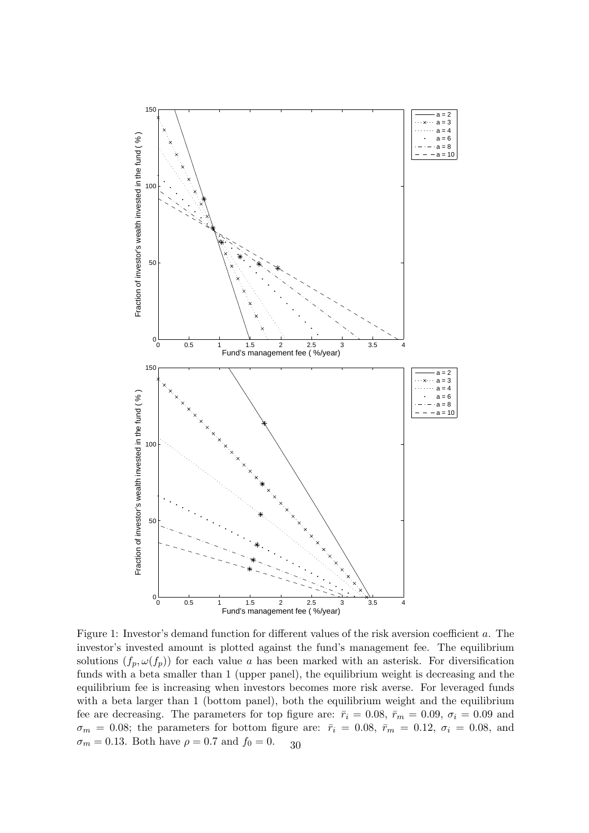

Figure 1: Investor's demand function for different values of the risk aversion coefficient a. The investor's invested amount is plotted against the fund's management fee. The equilibrium solutions  $(f_p, \omega(f_p))$  for each value a has been marked with an asterisk. For diversification funds with a beta smaller than 1 (upper panel), the equilibrium weight is decreasing and the equilibrium fee is increasing when investors becomes more risk averse. For leveraged funds with a beta larger than 1 (bottom panel), both the equilibrium weight and the equilibrium fee are decreasing. The parameters for top figure are:  $\bar{r}_i = 0.08$ ,  $\bar{r}_m = 0.09$ ,  $\sigma_i = 0.09$  and  $\sigma_m = 0.08$ ; the parameters for bottom figure are:  $\bar{r}_i = 0.08$ ,  $\bar{r}_m = 0.12$ ,  $\sigma_i = 0.08$ , and  $\sigma_m = 0.13$ . Both have  $\rho = 0.7$  and  $f_0 = 0$ . 30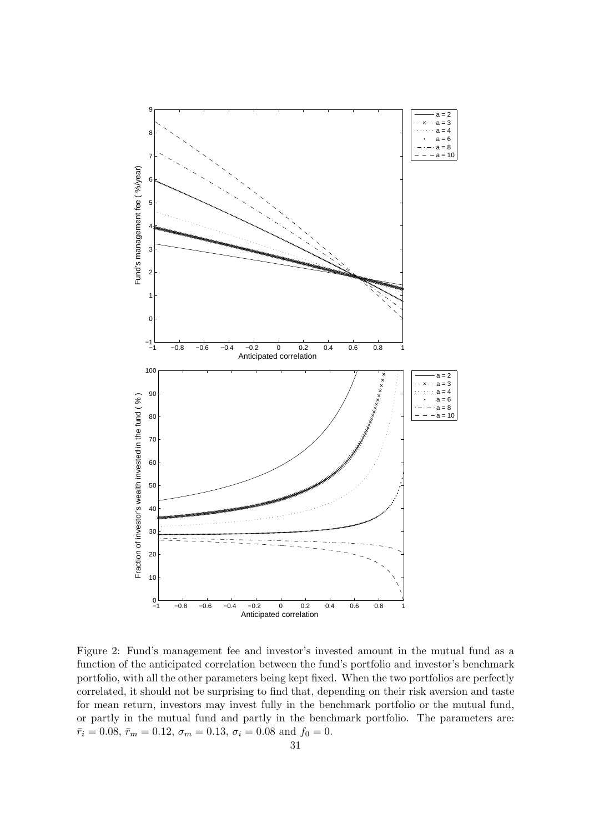

Figure 2: Fund's management fee and investor's invested amount in the mutual fund as a function of the anticipated correlation between the fund's portfolio and investor's benchmark portfolio, with all the other parameters being kept fixed. When the two portfolios are perfectly correlated, it should not be surprising to find that, depending on their risk aversion and taste for mean return, investors may invest fully in the benchmark portfolio or the mutual fund, or partly in the mutual fund and partly in the benchmark portfolio. The parameters are:  $\bar{r}_i = 0.08, \, \bar{r}_m = 0.12, \, \sigma_m = 0.13, \, \sigma_i = 0.08 \text{ and } f_0 = 0.5$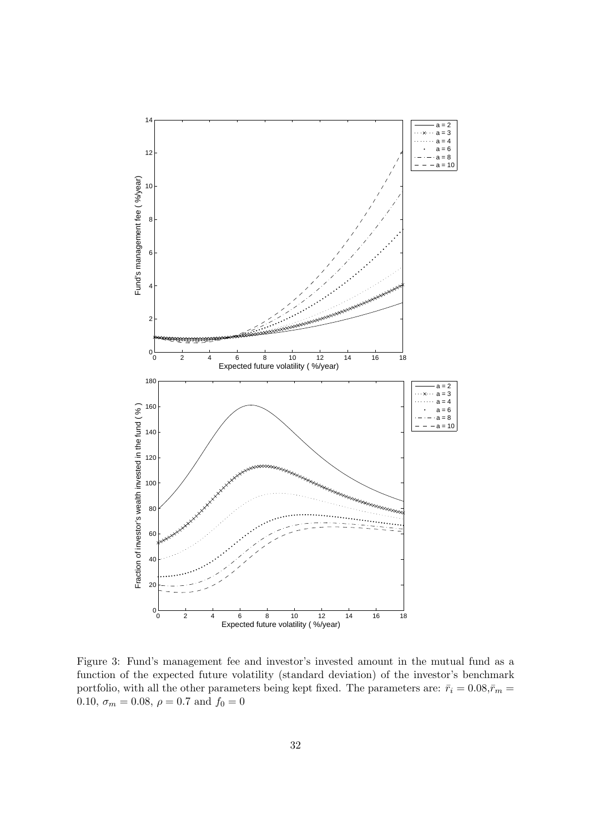

Figure 3: Fund's management fee and investor's invested amount in the mutual fund as a function of the expected future volatility (standard deviation) of the investor's benchmark portfolio, with all the other parameters being kept fixed. The parameters are:  $\bar{r}_i = 0.08, \bar{r}_m = 0.08$ 0.10,  $\sigma_m = 0.08, \rho = 0.7$  and  $f_0 = 0$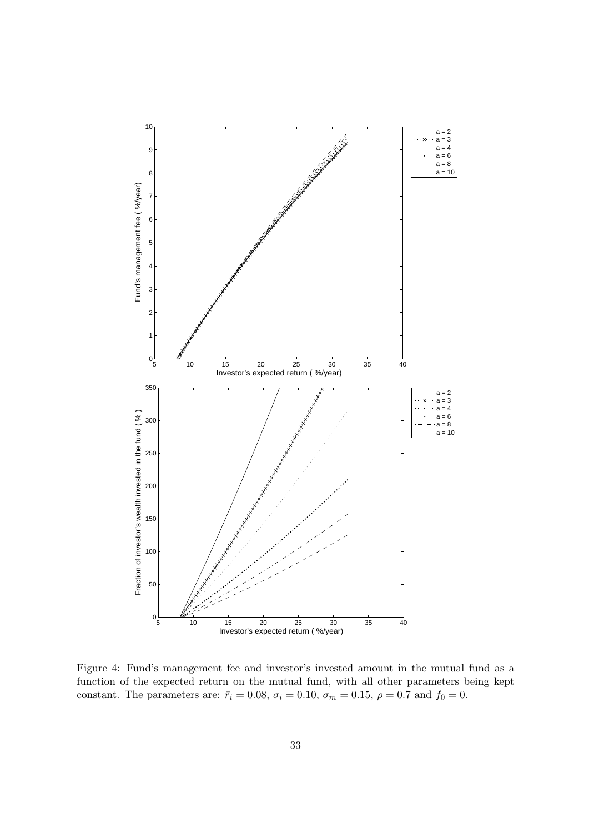

Figure 4: Fund's management fee and investor's invested amount in the mutual fund as a function of the expected return on the mutual fund, with all other parameters being kept constant. The parameters are:  $\bar{r}_i = 0.08$ ,  $\sigma_i = 0.10$ ,  $\sigma_m = 0.15$ ,  $\rho = 0.7$  and  $f_0 = 0$ .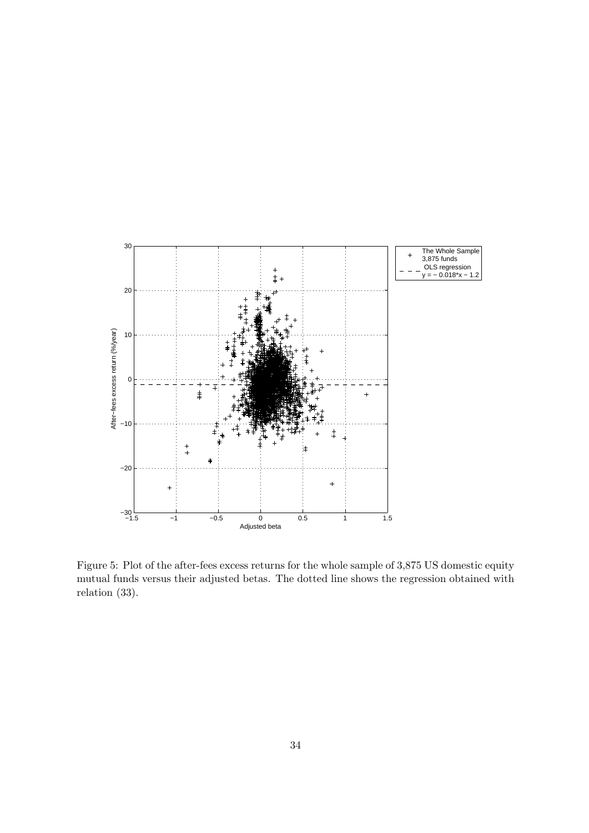

Figure 5: Plot of the after-fees excess returns for the whole sample of 3,875 US domestic equity mutual funds versus their adjusted betas. The dotted line shows the regression obtained with relation (33).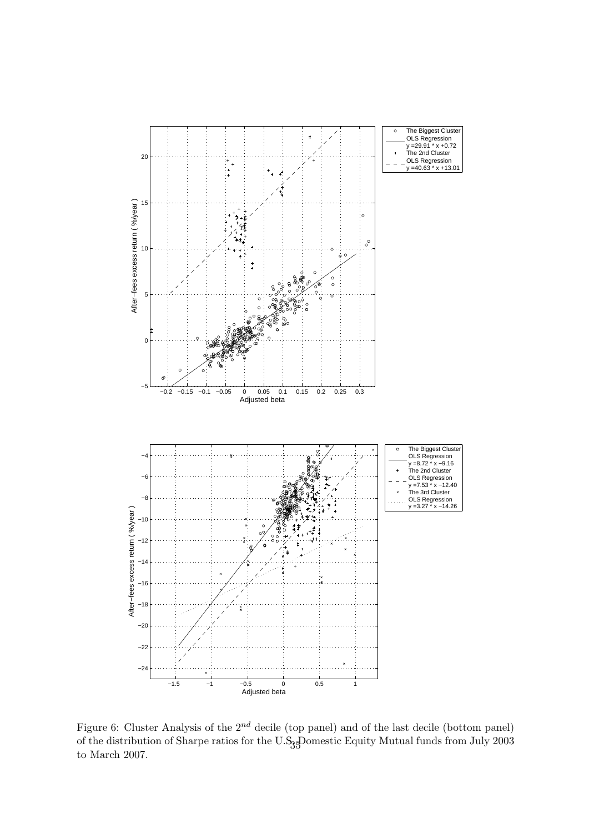

Figure 6: Cluster Analysis of the  $2^{nd}$  decile (top panel) and of the last decile (bottom panel) of the distribution of Sharpe ratios for the U.S<sub>3</sub>. Pomestic Equity Mutual funds from July 2003 to March 2007.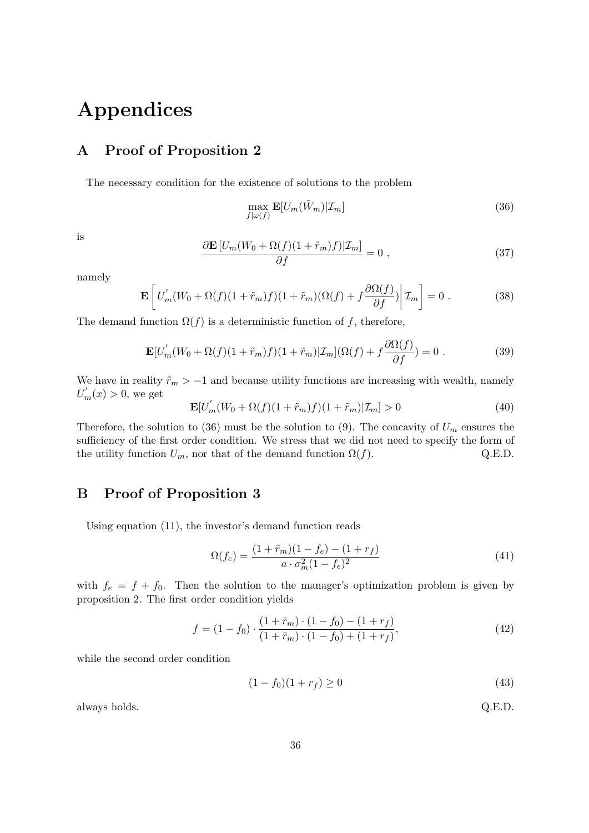# Appendices

# A Proof of Proposition 2

The necessary condition for the existence of solutions to the problem

$$
\max_{f|\omega(f)} \mathbf{E}[U_m(\tilde{W}_m)|\mathcal{I}_m] \tag{36}
$$

is

$$
\frac{\partial \mathbf{E}\left[U_m(W_0 + \Omega(f)(1 + \tilde{r}_m)f)|\mathcal{I}_m\right]}{\partial f} = 0 \;, \tag{37}
$$

namely

$$
\mathbf{E}\left[U'_{m}(W_{0}+\Omega(f)(1+\tilde{r}_{m})f)(1+\tilde{r}_{m})(\Omega(f)+f\frac{\partial\Omega(f)}{\partial f})\bigg|\mathcal{I}_{m}\right]=0.
$$
 (38)

The demand function  $\Omega(f)$  is a deterministic function of f, therefore,

$$
\mathbf{E}[U'_{m}(W_{0}+\Omega(f)(1+\tilde{r}_{m})f)(1+\tilde{r}_{m})|\mathcal{I}_{m}](\Omega(f)+f\frac{\partial\Omega(f)}{\partial f})=0.
$$
 (39)

We have in reality  $\tilde{r}_m > -1$  and because utility functions are increasing with wealth, namely  $U'_m(x) > 0$ , we get

$$
\mathbf{E}[U_m'(W_0 + \Omega(f)(1 + \tilde{r}_m)f)(1 + \tilde{r}_m)|\mathcal{I}_m] > 0
$$
\n(40)

Therefore, the solution to (36) must be the solution to (9). The concavity of  $U_m$  ensures the sufficiency of the first order condition. We stress that we did not need to specify the form of the utility function  $U_m$ , nor that of the demand function  $\Omega(f)$ . Q.E.D.

# B Proof of Proposition 3

Using equation (11), the investor's demand function reads

$$
\Omega(f_e) = \frac{(1 + \bar{r}_m)(1 - f_e) - (1 + r_f)}{a \cdot \sigma_m^2 (1 - f_e)^2}
$$
\n(41)

with  $f_e = f + f_0$ . Then the solution to the manager's optimization problem is given by proposition 2. The first order condition yields

$$
f = (1 - f_0) \cdot \frac{(1 + \bar{r}_m) \cdot (1 - f_0) - (1 + r_f)}{(1 + \bar{r}_m) \cdot (1 - f_0) + (1 + r_f)},\tag{42}
$$

while the second order condition

$$
(1 - f_0)(1 + r_f) \ge 0 \tag{43}
$$

always holds. Q.E.D.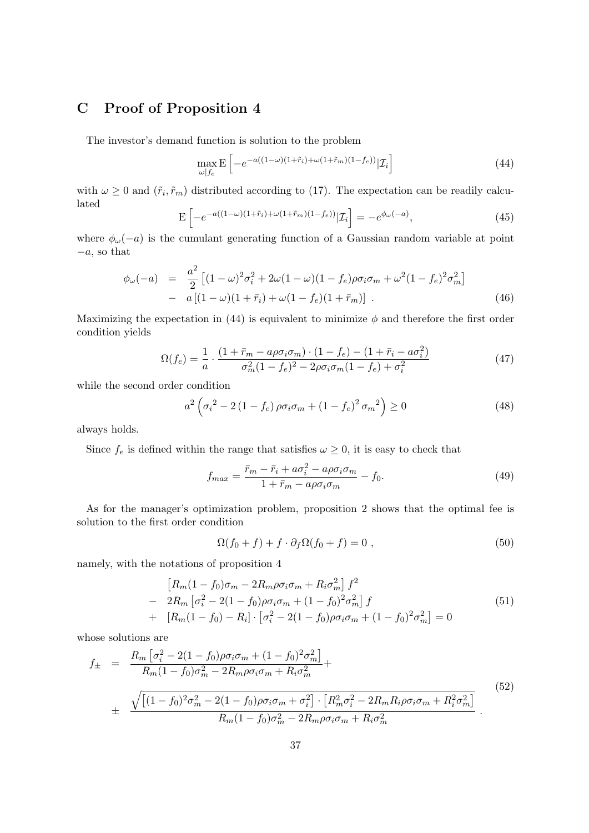# C Proof of Proposition 4

The investor's demand function is solution to the problem

$$
\max_{\omega \mid f_e} \mathbf{E} \left[ -e^{-a((1-\omega)(1+\tilde{r}_i)+\omega(1+\tilde{r}_m)(1-f_e))} | \mathcal{I}_i \right]
$$
(44)

with  $\omega \geq 0$  and  $(\tilde{r}_i, \tilde{r}_m)$  distributed according to (17). The expectation can be readily calculated h i

$$
\mathbf{E}\left[-e^{-a((1-\omega)(1+\tilde{r}_i)+\omega(1+\tilde{r}_m)(1-f_e))}|\mathcal{I}_i\right] = -e^{\phi_\omega(-a)},\tag{45}
$$

where  $\phi_{\omega}(-a)$  is the cumulant generating function of a Gaussian random variable at point  $-a$ , so that

$$
\phi_{\omega}(-a) = \frac{a^2}{2} \left[ (1 - \omega)^2 \sigma_i^2 + 2\omega (1 - \omega)(1 - f_e) \rho \sigma_i \sigma_m + \omega^2 (1 - f_e)^2 \sigma_m^2 \right] - a \left[ (1 - \omega)(1 + \bar{r}_i) + \omega (1 - f_e)(1 + \bar{r}_m) \right].
$$
\n(46)

Maximizing the expectation in (44) is equivalent to minimize  $\phi$  and therefore the first order condition yields

$$
\Omega(f_e) = \frac{1}{a} \cdot \frac{(1 + \bar{r}_m - a\rho\sigma_i\sigma_m) \cdot (1 - f_e) - (1 + \bar{r}_i - a\sigma_i^2)}{\sigma_m^2 (1 - f_e)^2 - 2\rho\sigma_i\sigma_m (1 - f_e) + \sigma_i^2}
$$
(47)

while the second order condition

$$
a^{2} \left(\sigma_{i}^{2} - 2(1 - f_{e}) \rho \sigma_{i} \sigma_{m} + (1 - f_{e})^{2} \sigma_{m}^{2}\right) \ge 0
$$
\n(48)

always holds.

Since  $f_e$  is defined within the range that satisfies  $\omega \geq 0$ , it is easy to check that

$$
f_{max} = \frac{\bar{r}_m - \bar{r}_i + a\sigma_i^2 - a\rho\sigma_i\sigma_m}{1 + \bar{r}_m - a\rho\sigma_i\sigma_m} - f_0.
$$
\n(49)

As for the manager's optimization problem, proposition 2 shows that the optimal fee is solution to the first order condition

$$
\Omega(f_0 + f) + f \cdot \partial_f \Omega(f_0 + f) = 0 , \qquad (50)
$$

namely, with the notations of proposition 4

$$
\begin{aligned}\n\left[R_m(1-f_0)\sigma_m - 2R_m\rho\sigma_i\sigma_m + R_i\sigma_m^2\right]f^2 \\
- 2R_m\left[\sigma_i^2 - 2(1-f_0)\rho\sigma_i\sigma_m + (1-f_0)^2\sigma_m^2\right]f \\
+ \left[R_m(1-f_0) - R_i\right] \cdot \left[\sigma_i^2 - 2(1-f_0)\rho\sigma_i\sigma_m + (1-f_0)^2\sigma_m^2\right] = 0\n\end{aligned} \tag{51}
$$

whose solutions are

$$
f_{\pm} = \frac{R_m \left[\sigma_i^2 - 2(1 - f_0)\rho\sigma_i\sigma_m + (1 - f_0)^2 \sigma_m^2\right]}{R_m(1 - f_0)\sigma_m^2 - 2R_m \rho\sigma_i\sigma_m + R_i \sigma_m^2} + \frac{\sqrt{\left[(1 - f_0)^2 \sigma_m^2 - 2(1 - f_0)\rho\sigma_i\sigma_m + \sigma_i^2\right] \cdot \left[R_m^2 \sigma_i^2 - 2R_m R_i \rho\sigma_i\sigma_m + R_i^2 \sigma_m^2\right]}}{R_m(1 - f_0)\sigma_m^2 - 2R_m \rho\sigma_i\sigma_m + R_i \sigma_m^2}.
$$
\n
$$
(52)
$$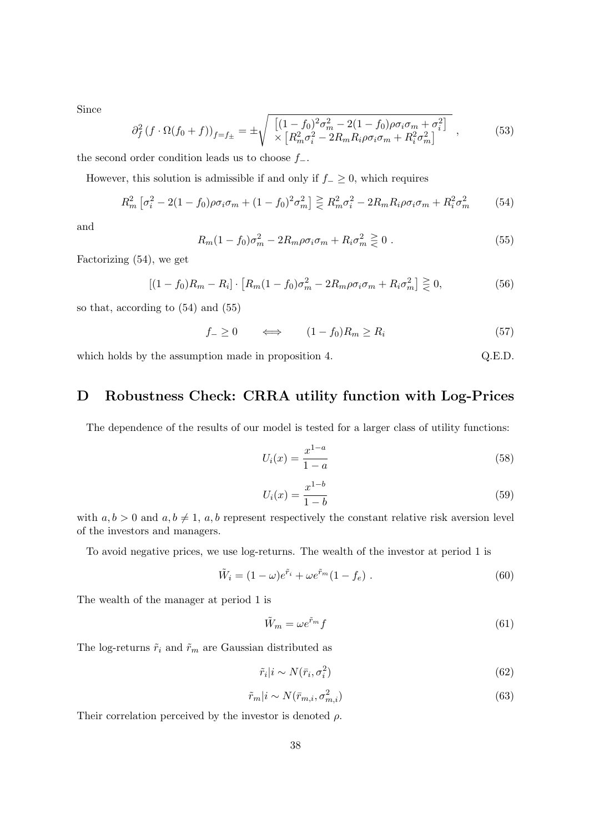Since

$$
\partial_f^2 (f \cdot \Omega(f_0 + f))_{f=f_{\pm}} = \pm \sqrt{\frac{\left[ (1 - f_0)^2 \sigma_m^2 - 2(1 - f_0) \rho \sigma_i \sigma_m + \sigma_i^2 \right]}{\times \left[ R_m^2 \sigma_i^2 - 2R_m R_i \rho \sigma_i \sigma_m + R_i^2 \sigma_m^2 \right]}} ,
$$
(53)

the second order condition leads us to choose  $f_-\$ .

However, this solution is admissible if and only if  $f_-\geq 0$ , which requires

$$
R_m^2 \left[ \sigma_i^2 - 2(1 - f_0) \rho \sigma_i \sigma_m + (1 - f_0)^2 \sigma_m^2 \right] \ge R_m^2 \sigma_i^2 - 2R_m R_i \rho \sigma_i \sigma_m + R_i^2 \sigma_m^2 \tag{54}
$$

and

$$
R_m(1 - f_0)\sigma_m^2 - 2R_m\rho\sigma_i\sigma_m + R_i\sigma_m^2 \ge 0.
$$
\n(55)

Factorizing (54), we get

$$
[(1 - f_0)R_m - R_i] \cdot [R_m(1 - f_0)\sigma_m^2 - 2R_m\rho\sigma_i\sigma_m + R_i\sigma_m^2] \ge 0,
$$
\n(56)

so that, according to (54) and (55)

$$
f_{-} \ge 0 \qquad \Longleftrightarrow \qquad (1 - f_{0})R_{m} \ge R_{i} \tag{57}
$$

which holds by the assumption made in proposition 4.  $Q.E.D.$ 

# D Robustness Check: CRRA utility function with Log-Prices

The dependence of the results of our model is tested for a larger class of utility functions:

$$
U_i(x) = \frac{x^{1-a}}{1-a}
$$
\n(58)

$$
U_i(x) = \frac{x^{1-b}}{1-b}
$$
\n(59)

with  $a, b > 0$  and  $a, b \neq 1$ ,  $a, b$  represent respectively the constant relative risk aversion level of the investors and managers.

To avoid negative prices, we use log-returns. The wealth of the investor at period 1 is

$$
\tilde{W}_i = (1 - \omega)e^{\tilde{r}_i} + \omega e^{\tilde{r}_m}(1 - f_e) .
$$
\n(60)

The wealth of the manager at period 1 is

$$
\tilde{W}_m = \omega e^{\tilde{r}_m} f \tag{61}
$$

The log-returns  $\tilde{r}_i$  and  $\tilde{r}_m$  are Gaussian distributed as

$$
\tilde{r}_i|i \sim N(\bar{r}_i, \sigma_i^2) \tag{62}
$$

$$
\tilde{r}_m|i \sim N(\bar{r}_{m,i}, \sigma_{m,i}^2) \tag{63}
$$

Their correlation perceived by the investor is denoted  $\rho$ .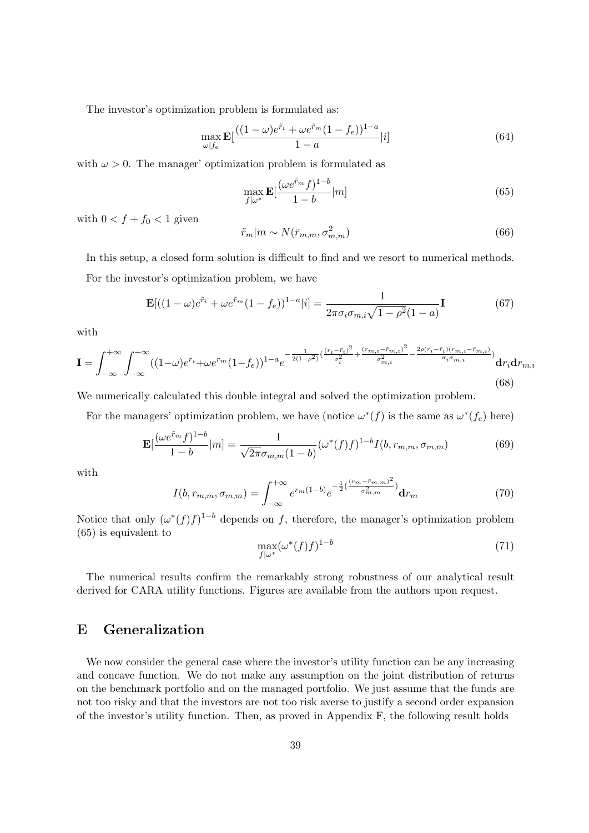The investor's optimization problem is formulated as:

$$
\max_{\omega|f_e} \mathbf{E} \left[ \frac{((1-\omega)e^{\tilde{r}_i} + \omega e^{\tilde{r}_m}(1-f_e))^{1-a}}{1-a}|i] \right]
$$
(64)

with  $\omega > 0$ . The manager' optimization problem is formulated as

$$
\max_{f|\omega^*} \mathbf{E} \left[ \frac{(\omega e^{\tilde{r}_m} f)^{1-b}}{1-b} |m \right] \tag{65}
$$

with  $0 < f + f_0 < 1$  given

$$
\tilde{r}_m|m \sim N(\bar{r}_{m,m}, \sigma_{m,m}^2)
$$
\n(66)

In this setup, a closed form solution is difficult to find and we resort to numerical methods. For the investor's optimization problem, we have

$$
\mathbf{E}[((1-\omega)e^{\tilde{r}_i} + \omega e^{\tilde{r}_m}(1-f_e))^{1-a}|i] = \frac{1}{2\pi\sigma_i\sigma_{m,i}\sqrt{1-\rho^2}(1-a)}\mathbf{I}
$$
(67)

with

$$
\mathbf{I} = \int_{-\infty}^{+\infty} \int_{-\infty}^{+\infty} ((1-\omega)e^{r_i} + \omega e^{r_m}(1-f_e))^{1-a} e^{-\frac{1}{2(1-\rho^2)}(\frac{(r_i - \bar{r}_i)^2}{\sigma_i^2} + \frac{(r_{m,i} - \bar{r}_{m,i})^2}{\sigma_{m,i}^2} - \frac{2\rho(r_i - \bar{r}_i)(r_{m,i} - \bar{r}_{m,i})}{\sigma_i \sigma_{m,i}})} \mathbf{d}r_i \mathbf{d}r_{m,i}
$$
(68)

We numerically calculated this double integral and solved the optimization problem.

For the managers' optimization problem, we have (notice  $\omega^*(f)$  is the same as  $\omega^*(f_e)$  here)

$$
\mathbf{E}[\frac{(\omega e^{\tilde{r}_m}f)^{1-b}}{1-b}|m] = \frac{1}{\sqrt{2\pi}\sigma_{m,m}(1-b)}(\omega^*(f)f)^{1-b}I(b,r_{m,m},\sigma_{m,m})
$$
(69)

with

$$
I(b, r_{m,m}, \sigma_{m,m}) = \int_{-\infty}^{+\infty} e^{r_m(1-b)} e^{-\frac{1}{2}(\frac{(r_m - \bar{r}_{m,m})^2}{\sigma_{m,m}^2})} dr_m \tag{70}
$$

Notice that only  $(\omega^*(f) f)^{1-b}$  depends on f, therefore, the manager's optimization problem (65) is equivalent to

$$
\max_{f|\omega^*} (\omega^*(f)f)^{1-b} \tag{71}
$$

The numerical results confirm the remarkably strong robustness of our analytical result derived for CARA utility functions. Figures are available from the authors upon request.

# E Generalization

We now consider the general case where the investor's utility function can be any increasing and concave function. We do not make any assumption on the joint distribution of returns on the benchmark portfolio and on the managed portfolio. We just assume that the funds are not too risky and that the investors are not too risk averse to justify a second order expansion of the investor's utility function. Then, as proved in Appendix F, the following result holds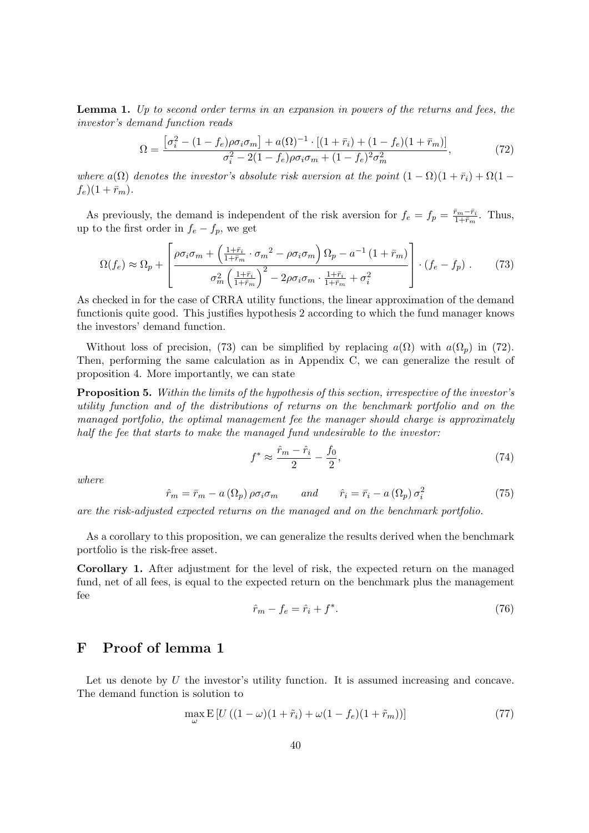Lemma 1. Up to second order terms in an expansion in powers of the returns and fees, the investor's demand function reads

$$
\Omega = \frac{\left[\sigma_i^2 - (1 - f_e)\rho \sigma_i \sigma_m\right] + a(\Omega)^{-1} \cdot \left[(1 + \bar{r}_i) + (1 - f_e)(1 + \bar{r}_m)\right]}{\sigma_i^2 - 2(1 - f_e)\rho \sigma_i \sigma_m + (1 - f_e)^2 \sigma_m^2},\tag{72}
$$

where  $a(\Omega)$  denotes the investor's absolute risk aversion at the point  $(1 - \Omega)(1 + \bar{r}_i) + \Omega(1 (f_e)(1 + \bar{r}_m).$ 

As previously, the demand is independent of the risk aversion for  $f_e = f_p = \frac{\bar{r}_m - \bar{r}_i}{1 + \bar{r}_m}$  $rac{r_m-r_i}{1+\bar{r}_m}$ . Thus, up to the first order in  $f_e - f_p$ , we get

$$
\Omega(f_e) \approx \Omega_p + \left[ \frac{\rho \sigma_i \sigma_m + \left( \frac{1 + \bar{r}_i}{1 + \bar{r}_m} \cdot \sigma_m^2 - \rho \sigma_i \sigma_m \right) \Omega_p - a^{-1} \left( 1 + \bar{r}_m \right)}{\sigma_m^2 \left( \frac{1 + \bar{r}_i}{1 + \bar{r}_m} \right)^2 - 2\rho \sigma_i \sigma_m \cdot \frac{1 + \bar{r}_i}{1 + \bar{r}_m} + \sigma_i^2} \right] \cdot (f_e - f_p) \,. \tag{73}
$$

As checked in for the case of CRRA utility functions, the linear approximation of the demand functionis quite good. This justifies hypothesis 2 according to which the fund manager knows the investors' demand function.

Without loss of precision, (73) can be simplified by replacing  $a(\Omega)$  with  $a(\Omega_p)$  in (72). Then, performing the same calculation as in Appendix C, we can generalize the result of proposition 4. More importantly, we can state

Proposition 5. Within the limits of the hypothesis of this section, irrespective of the investor's utility function and of the distributions of returns on the benchmark portfolio and on the managed portfolio, the optimal management fee the manager should charge is approximately half the fee that starts to make the managed fund undesirable to the investor:

$$
f^* \approx \frac{\hat{r}_m - \hat{r}_i}{2} - \frac{f_0}{2},\tag{74}
$$

where

$$
\hat{r}_m = \bar{r}_m - a\left(\Omega_p\right)\rho\sigma_i\sigma_m \qquad and \qquad \hat{r}_i = \bar{r}_i - a\left(\Omega_p\right)\sigma_i^2 \tag{75}
$$

are the risk-adjusted expected returns on the managed and on the benchmark portfolio.

As a corollary to this proposition, we can generalize the results derived when the benchmark portfolio is the risk-free asset.

Corollary 1. After adjustment for the level of risk, the expected return on the managed fund, net of all fees, is equal to the expected return on the benchmark plus the management fee

$$
\hat{r}_m - f_e = \hat{r}_i + f^*.\tag{76}
$$

## F Proof of lemma 1

Let us denote by  $U$  the investor's utility function. It is assumed increasing and concave. The demand function is solution to

$$
\max_{\omega} \mathbb{E}\left[U\left((1-\omega)(1+\tilde{r}_i)+\omega(1-f_e)(1+\tilde{r}_m)\right)\right]
$$
\n(77)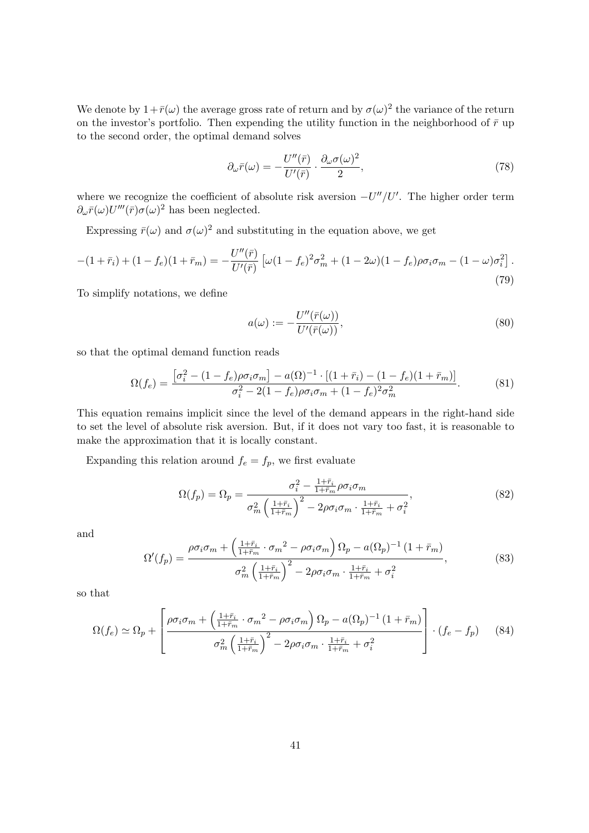We denote by  $1+\bar{r}(\omega)$  the average gross rate of return and by  $\sigma(\omega)^2$  the variance of the return on the investor's portfolio. Then expending the utility function in the neighborhood of  $\bar{r}$  up to the second order, the optimal demand solves

$$
\partial_{\omega}\bar{r}(\omega) = -\frac{U''(\bar{r})}{U'(\bar{r})} \cdot \frac{\partial_{\omega}\sigma(\omega)^2}{2},\tag{78}
$$

where we recognize the coefficient of absolute risk aversion  $-U''/U'$ . The higher order term  $\partial_{\omega}\bar{r}(\omega)U'''(\bar{r})\sigma(\omega)^2$  has been neglected.

Expressing  $\bar{r}(\omega)$  and  $\sigma(\omega)^2$  and substituting in the equation above, we get

$$
-(1+\bar{r}_i) + (1-f_e)(1+\bar{r}_m) = -\frac{U''(\bar{r})}{U'(\bar{r})} \left[ \omega(1-f_e)^2 \sigma_m^2 + (1-2\omega)(1-f_e)\rho \sigma_i \sigma_m - (1-\omega)\sigma_i^2 \right].
$$
\n(79)

To simplify notations, we define

$$
a(\omega) := -\frac{U''(\bar{r}(\omega))}{U'(\bar{r}(\omega))},\tag{80}
$$

so that the optimal demand function reads

$$
\Omega(f_e) = \frac{\left[\sigma_i^2 - (1 - f_e)\rho \sigma_i \sigma_m\right] - a(\Omega)^{-1} \cdot \left[(1 + \bar{r}_i) - (1 - f_e)(1 + \bar{r}_m)\right]}{\sigma_i^2 - 2(1 - f_e)\rho \sigma_i \sigma_m + (1 - f_e)^2 \sigma_m^2}.
$$
(81)

This equation remains implicit since the level of the demand appears in the right-hand side to set the level of absolute risk aversion. But, if it does not vary too fast, it is reasonable to make the approximation that it is locally constant.

Expanding this relation around  $f_e = f_p$ , we first evaluate

$$
\Omega(f_p) = \Omega_p = \frac{\sigma_i^2 - \frac{1+\bar{r}_i}{1+\bar{r}_m}\rho\sigma_i\sigma_m}{\sigma_m^2 \left(\frac{1+\bar{r}_i}{1+\bar{r}_m}\right)^2 - 2\rho\sigma_i\sigma_m \cdot \frac{1+\bar{r}_i}{1+\bar{r}_m} + \sigma_i^2},\tag{82}
$$

and

$$
\Omega'(f_p) = \frac{\rho \sigma_i \sigma_m + \left(\frac{1+\bar{r}_i}{1+\bar{r}_m} \cdot \sigma_m^2 - \rho \sigma_i \sigma_m\right) \Omega_p - a(\Omega_p)^{-1} \left(1+\bar{r}_m\right)}{\sigma_m^2 \left(\frac{1+\bar{r}_i}{1+\bar{r}_m}\right)^2 - 2\rho \sigma_i \sigma_m \cdot \frac{1+\bar{r}_i}{1+\bar{r}_m} + \sigma_i^2},\tag{83}
$$

so that

$$
\Omega(f_e) \simeq \Omega_p + \left[ \frac{\rho \sigma_i \sigma_m + \left( \frac{1 + \bar{r}_i}{1 + \bar{r}_m} \cdot \sigma_m^2 - \rho \sigma_i \sigma_m \right) \Omega_p - a(\Omega_p)^{-1} (1 + \bar{r}_m)}{\sigma_m^2 \left( \frac{1 + \bar{r}_i}{1 + \bar{r}_m} \right)^2 - 2\rho \sigma_i \sigma_m \cdot \frac{1 + \bar{r}_i}{1 + \bar{r}_m} + \sigma_i^2} \right] \cdot (f_e - f_p) \tag{84}
$$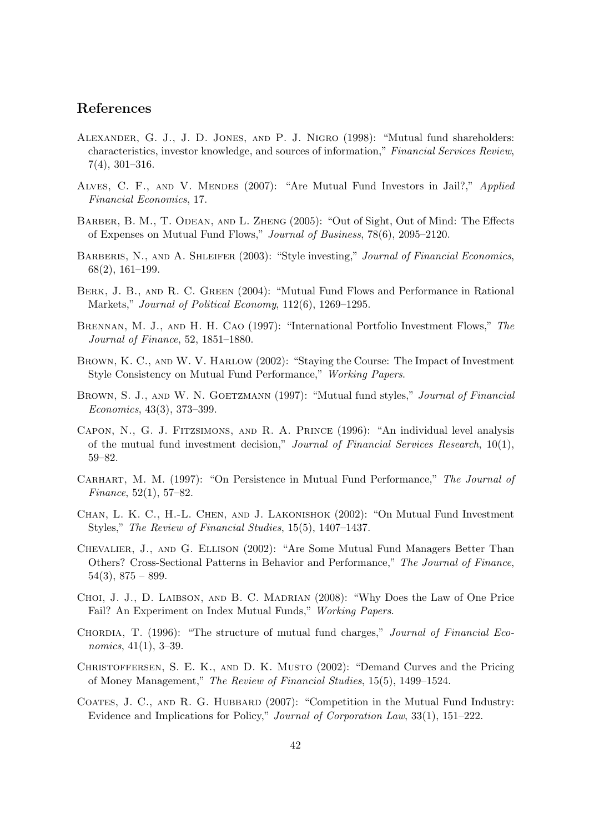## References

- Alexander, G. J., J. D. Jones, and P. J. Nigro (1998): "Mutual fund shareholders: characteristics, investor knowledge, and sources of information," Financial Services Review, 7(4), 301–316.
- Alves, C. F., and V. Mendes (2007): "Are Mutual Fund Investors in Jail?," Applied Financial Economics, 17.
- BARBER, B. M., T. ODEAN, AND L. ZHENG (2005): "Out of Sight, Out of Mind: The Effects of Expenses on Mutual Fund Flows," Journal of Business, 78(6), 2095–2120.
- BARBERIS, N., AND A. SHLEIFER (2003): "Style investing," Journal of Financial Economics, 68(2), 161–199.
- BERK, J. B., AND R. C. GREEN (2004): "Mutual Fund Flows and Performance in Rational Markets," Journal of Political Economy, 112(6), 1269–1295.
- Brennan, M. J., and H. H. Cao (1997): "International Portfolio Investment Flows," The Journal of Finance, 52, 1851–1880.
- Brown, K. C., and W. V. Harlow (2002): "Staying the Course: The Impact of Investment Style Consistency on Mutual Fund Performance," Working Papers.
- BROWN, S. J., AND W. N. GOETZMANN (1997): "Mutual fund styles," Journal of Financial Economics, 43(3), 373–399.
- Capon, N., G. J. Fitzsimons, and R. A. Prince (1996): "An individual level analysis of the mutual fund investment decision," Journal of Financial Services Research, 10(1), 59–82.
- Carhart, M. M. (1997): "On Persistence in Mutual Fund Performance," The Journal of Finance, 52(1), 57–82.
- Chan, L. K. C., H.-L. Chen, and J. Lakonishok (2002): "On Mutual Fund Investment Styles," The Review of Financial Studies, 15(5), 1407–1437.
- Chevalier, J., and G. Ellison (2002): "Are Some Mutual Fund Managers Better Than Others? Cross-Sectional Patterns in Behavior and Performance," The Journal of Finance,  $54(3), 875 - 899.$
- CHOI, J. J., D. LAIBSON, AND B. C. MADRIAN (2008): "Why Does the Law of One Price Fail? An Experiment on Index Mutual Funds," Working Papers.
- CHORDIA, T. (1996): "The structure of mutual fund charges," Journal of Financial Economics, 41(1), 3–39.
- Christoffersen, S. E. K., and D. K. Musto (2002): "Demand Curves and the Pricing of Money Management," The Review of Financial Studies, 15(5), 1499–1524.
- COATES, J. C., AND R. G. HUBBARD (2007): "Competition in the Mutual Fund Industry: Evidence and Implications for Policy," Journal of Corporation Law, 33(1), 151–222.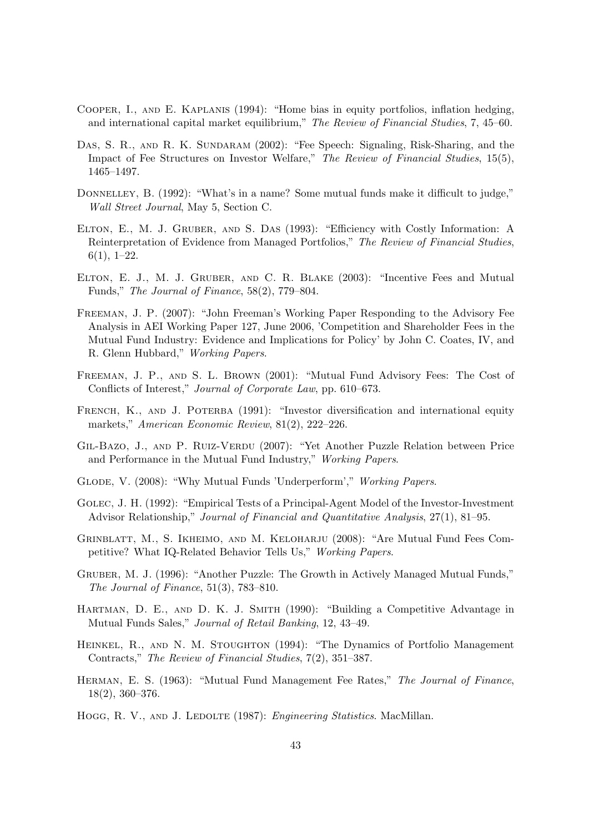- Cooper, I., and E. Kaplanis (1994): "Home bias in equity portfolios, inflation hedging, and international capital market equilibrium," The Review of Financial Studies, 7, 45–60.
- DAS, S. R., AND R. K. SUNDARAM (2002): "Fee Speech: Signaling, Risk-Sharing, and the Impact of Fee Structures on Investor Welfare," The Review of Financial Studies, 15(5), 1465–1497.
- DONNELLEY, B. (1992): "What's in a name? Some mutual funds make it difficult to judge," Wall Street Journal, May 5, Section C.
- Elton, E., M. J. Gruber, and S. Das (1993): "Efficiency with Costly Information: A Reinterpretation of Evidence from Managed Portfolios," The Review of Financial Studies,  $6(1), 1-22.$
- Elton, E. J., M. J. Gruber, and C. R. Blake (2003): "Incentive Fees and Mutual Funds," The Journal of Finance, 58(2), 779–804.
- Freeman, J. P. (2007): "John Freeman's Working Paper Responding to the Advisory Fee Analysis in AEI Working Paper 127, June 2006, 'Competition and Shareholder Fees in the Mutual Fund Industry: Evidence and Implications for Policy' by John C. Coates, IV, and R. Glenn Hubbard," Working Papers.
- Freeman, J. P., and S. L. Brown (2001): "Mutual Fund Advisory Fees: The Cost of Conflicts of Interest," Journal of Corporate Law, pp. 610–673.
- FRENCH, K., AND J. POTERBA (1991): "Investor diversification and international equity markets," American Economic Review, 81(2), 222–226.
- GIL-BAZO, J., AND P. RUIZ-VERDU (2007): "Yet Another Puzzle Relation between Price and Performance in the Mutual Fund Industry," Working Papers.
- Glode, V. (2008): "Why Mutual Funds 'Underperform'," Working Papers.
- Golec, J. H. (1992): "Empirical Tests of a Principal-Agent Model of the Investor-Investment Advisor Relationship," Journal of Financial and Quantitative Analysis, 27(1), 81–95.
- Grinblatt, M., S. Ikheimo, and M. Keloharju (2008): "Are Mutual Fund Fees Competitive? What IQ-Related Behavior Tells Us," Working Papers.
- Gruber, M. J. (1996): "Another Puzzle: The Growth in Actively Managed Mutual Funds," The Journal of Finance, 51(3), 783–810.
- Hartman, D. E., and D. K. J. Smith (1990): "Building a Competitive Advantage in Mutual Funds Sales," Journal of Retail Banking, 12, 43–49.
- HEINKEL, R., AND N. M. STOUGHTON (1994): "The Dynamics of Portfolio Management Contracts," The Review of Financial Studies, 7(2), 351–387.
- Herman, E. S. (1963): "Mutual Fund Management Fee Rates," The Journal of Finance, 18(2), 360–376.
- HOGG, R. V., AND J. LEDOLTE (1987): *Engineering Statistics*. MacMillan.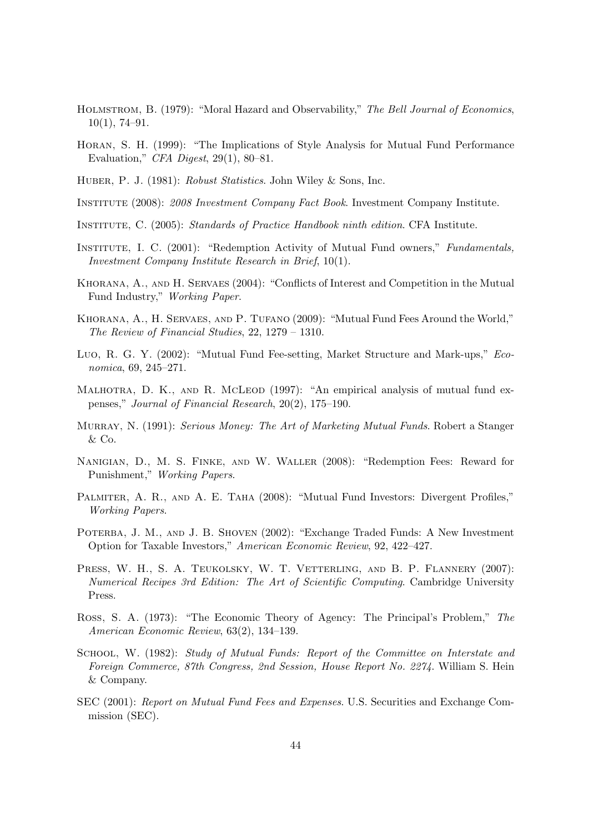- HOLMSTROM, B. (1979): "Moral Hazard and Observability," The Bell Journal of Economics, 10(1), 74–91.
- Horan, S. H. (1999): "The Implications of Style Analysis for Mutual Fund Performance Evaluation," *CFA Digest*, 29(1), 80–81.
- Huber, P. J. (1981): Robust Statistics. John Wiley & Sons, Inc.
- Institute (2008): 2008 Investment Company Fact Book. Investment Company Institute.
- Institute, C. (2005): Standards of Practice Handbook ninth edition. CFA Institute.
- Institute, I. C. (2001): "Redemption Activity of Mutual Fund owners," Fundamentals, Investment Company Institute Research in Brief, 10(1).
- Khorana, A., and H. Servaes (2004): "Conflicts of Interest and Competition in the Mutual Fund Industry," Working Paper.
- Khorana, A., H. Servaes, and P. Tufano (2009): "Mutual Fund Fees Around the World," The Review of Financial Studies, 22, 1279 – 1310.
- Luo, R. G. Y. (2002): "Mutual Fund Fee-setting, Market Structure and Mark-ups," Economica, 69, 245–271.
- MALHOTRA, D. K., AND R. MCLEOD (1997): "An empirical analysis of mutual fund expenses," Journal of Financial Research, 20(2), 175–190.
- Murray, N. (1991): Serious Money: The Art of Marketing Mutual Funds. Robert a Stanger & Co.
- Nanigian, D., M. S. Finke, and W. Waller (2008): "Redemption Fees: Reward for Punishment," Working Papers.
- PALMITER, A. R., AND A. E. TAHA (2008): "Mutual Fund Investors: Divergent Profiles," Working Papers.
- POTERBA, J. M., AND J. B. SHOVEN (2002): "Exchange Traded Funds: A New Investment Option for Taxable Investors," American Economic Review, 92, 422–427.
- PRESS, W. H., S. A. TEUKOLSKY, W. T. VETTERLING, AND B. P. FLANNERY (2007): Numerical Recipes 3rd Edition: The Art of Scientific Computing. Cambridge University Press.
- Ross, S. A. (1973): "The Economic Theory of Agency: The Principal's Problem," The American Economic Review, 63(2), 134–139.
- School, W. (1982): Study of Mutual Funds: Report of the Committee on Interstate and Foreign Commerce, 87th Congress, 2nd Session, House Report No. 2274. William S. Hein & Company.
- SEC (2001): Report on Mutual Fund Fees and Expenses. U.S. Securities and Exchange Commission (SEC).